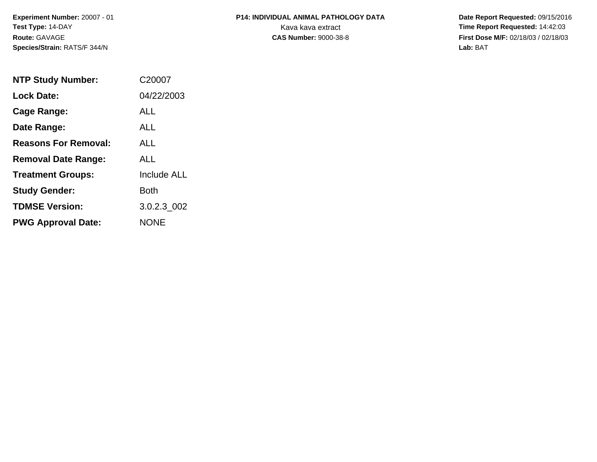**Experiment Number:** 20007 - 01**Test Type:** 14-DAY**Route:** GAVAGE**Species/Strain:** RATS/F 344/N

## **P14: INDIVIDUAL ANIMAL PATHOLOGY DATA**Kava kava extract **Time Report Requested:** 14:42:03

 **Date Report Requested:** 09/15/2016 **First Dose M/F:** 02/18/03 / 02/18/03<br>Lab: BAT **Lab:** BAT

| <b>NTP Study Number:</b>    | C20007             |
|-----------------------------|--------------------|
| <b>Lock Date:</b>           | 04/22/2003         |
| Cage Range:                 | ALL                |
| Date Range:                 | ALL                |
| <b>Reasons For Removal:</b> | ALL.               |
| <b>Removal Date Range:</b>  | ALL                |
| <b>Treatment Groups:</b>    | <b>Include ALL</b> |
| <b>Study Gender:</b>        | <b>Both</b>        |
| <b>TDMSE Version:</b>       | 3.0.2.3 002        |
| <b>PWG Approval Date:</b>   | <b>NONE</b>        |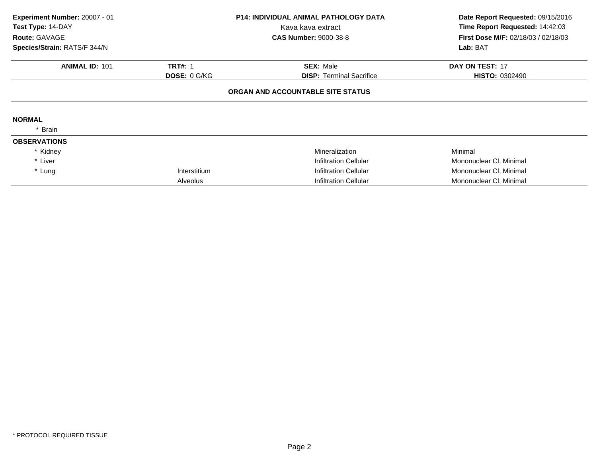| Experiment Number: 20007 - 01<br>Test Type: 14-DAY<br>Route: GAVAGE<br>Species/Strain: RATS/F 344/N |                     | <b>P14: INDIVIDUAL ANIMAL PATHOLOGY DATA</b><br>Kava kava extract<br><b>CAS Number: 9000-38-8</b> | Date Report Requested: 09/15/2016<br>Time Report Requested: 14:42:03<br><b>First Dose M/F: 02/18/03 / 02/18/03</b><br>Lab: BAT |
|-----------------------------------------------------------------------------------------------------|---------------------|---------------------------------------------------------------------------------------------------|--------------------------------------------------------------------------------------------------------------------------------|
| <b>ANIMAL ID: 101</b>                                                                               | <b>TRT#: 1</b>      | <b>SEX: Male</b>                                                                                  | DAY ON TEST: 17                                                                                                                |
|                                                                                                     | <b>DOSE: 0 G/KG</b> | <b>DISP:</b> Terminal Sacrifice                                                                   | <b>HISTO: 0302490</b>                                                                                                          |
|                                                                                                     |                     | ORGAN AND ACCOUNTABLE SITE STATUS                                                                 |                                                                                                                                |
| <b>NORMAL</b>                                                                                       |                     |                                                                                                   |                                                                                                                                |
| Brain                                                                                               |                     |                                                                                                   |                                                                                                                                |
| <b>OBSERVATIONS</b>                                                                                 |                     |                                                                                                   |                                                                                                                                |
| * Kidney                                                                                            |                     | Mineralization                                                                                    | Minimal                                                                                                                        |
| * Liver                                                                                             |                     | Infiltration Cellular                                                                             | Mononuclear CI, Minimal                                                                                                        |
| * Lung                                                                                              | Interstitium        | Infiltration Cellular                                                                             | Mononuclear CI, Minimal                                                                                                        |
|                                                                                                     | <b>Alveolus</b>     | <b>Infiltration Cellular</b>                                                                      | Mononuclear CI, Minimal                                                                                                        |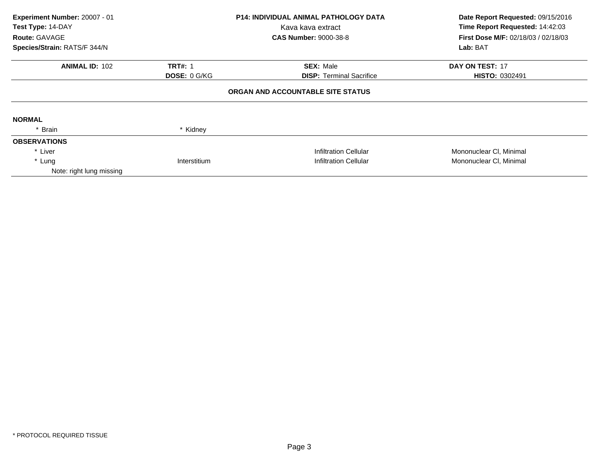| Experiment Number: 20007 - 01<br>Test Type: 14-DAY<br>Route: GAVAGE<br>Species/Strain: RATS/F 344/N |                     | <b>P14: INDIVIDUAL ANIMAL PATHOLOGY DATA</b><br>Kava kava extract<br><b>CAS Number: 9000-38-8</b> | Date Report Requested: 09/15/2016<br>Time Report Requested: 14:42:03<br>First Dose M/F: 02/18/03 / 02/18/03<br>Lab: BAT |
|-----------------------------------------------------------------------------------------------------|---------------------|---------------------------------------------------------------------------------------------------|-------------------------------------------------------------------------------------------------------------------------|
|                                                                                                     |                     |                                                                                                   |                                                                                                                         |
| <b>ANIMAL ID: 102</b>                                                                               | <b>TRT#: 1</b>      | <b>SEX: Male</b>                                                                                  | <b>DAY ON TEST: 17</b>                                                                                                  |
|                                                                                                     | <b>DOSE: 0 G/KG</b> | <b>DISP:</b> Terminal Sacrifice                                                                   | HISTO: 0302491                                                                                                          |
|                                                                                                     |                     | ORGAN AND ACCOUNTABLE SITE STATUS                                                                 |                                                                                                                         |
| <b>NORMAL</b>                                                                                       |                     |                                                                                                   |                                                                                                                         |
| * Brain                                                                                             | * Kidney            |                                                                                                   |                                                                                                                         |
| <b>OBSERVATIONS</b>                                                                                 |                     |                                                                                                   |                                                                                                                         |
| * Liver                                                                                             |                     | <b>Infiltration Cellular</b>                                                                      | Mononuclear CI, Minimal                                                                                                 |
| * Lung                                                                                              | Interstitium        | <b>Infiltration Cellular</b>                                                                      | Mononuclear CI, Minimal                                                                                                 |
| Note: right lung missing                                                                            |                     |                                                                                                   |                                                                                                                         |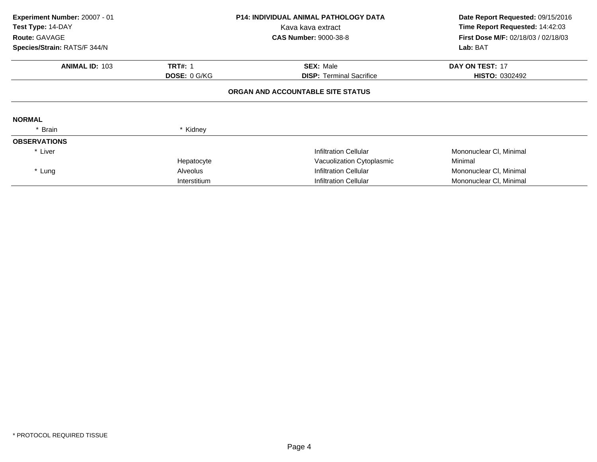| Experiment Number: 20007 - 01<br>Test Type: 14-DAY<br>Route: GAVAGE<br>Species/Strain: RATS/F 344/N |                                       | <b>P14: INDIVIDUAL ANIMAL PATHOLOGY DATA</b><br>Kava kava extract<br><b>CAS Number: 9000-38-8</b> | Date Report Requested: 09/15/2016<br>Time Report Requested: 14:42:03<br>First Dose M/F: 02/18/03 / 02/18/03<br>Lab: BAT |
|-----------------------------------------------------------------------------------------------------|---------------------------------------|---------------------------------------------------------------------------------------------------|-------------------------------------------------------------------------------------------------------------------------|
| <b>ANIMAL ID: 103</b>                                                                               | <b>TRT#: 1</b><br><b>DOSE: 0 G/KG</b> | <b>SEX: Male</b><br><b>DISP:</b> Terminal Sacrifice                                               | <b>DAY ON TEST: 17</b><br><b>HISTO: 0302492</b>                                                                         |
|                                                                                                     |                                       | ORGAN AND ACCOUNTABLE SITE STATUS                                                                 |                                                                                                                         |
| <b>NORMAL</b>                                                                                       |                                       |                                                                                                   |                                                                                                                         |
| * Brain                                                                                             | * Kidney                              |                                                                                                   |                                                                                                                         |
| <b>OBSERVATIONS</b>                                                                                 |                                       |                                                                                                   |                                                                                                                         |
| * Liver                                                                                             |                                       | Infiltration Cellular                                                                             | Mononuclear CI, Minimal                                                                                                 |
|                                                                                                     | Hepatocyte                            | Vacuolization Cytoplasmic                                                                         | Minimal                                                                                                                 |
| * Lung                                                                                              | Alveolus                              | <b>Infiltration Cellular</b>                                                                      | Mononuclear CI, Minimal                                                                                                 |
|                                                                                                     | Interstitium                          | <b>Infiltration Cellular</b>                                                                      | Mononuclear CI, Minimal                                                                                                 |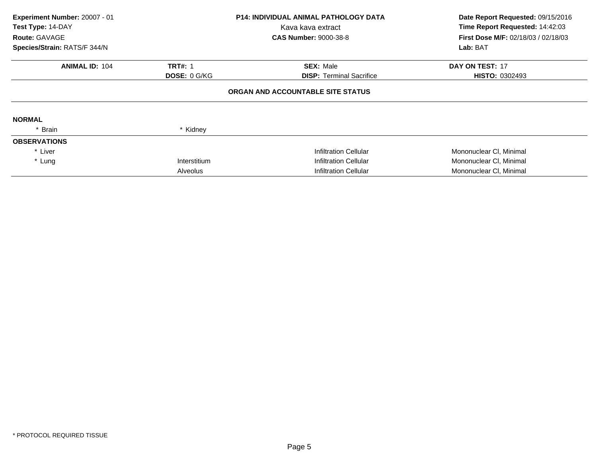| Experiment Number: 20007 - 01<br>Test Type: 14-DAY<br>Route: GAVAGE |                     | <b>P14: INDIVIDUAL ANIMAL PATHOLOGY DATA</b><br>Kava kava extract<br><b>CAS Number: 9000-38-8</b> | Date Report Requested: 09/15/2016<br>Time Report Requested: 14:42:03<br>First Dose M/F: 02/18/03 / 02/18/03 |
|---------------------------------------------------------------------|---------------------|---------------------------------------------------------------------------------------------------|-------------------------------------------------------------------------------------------------------------|
| Species/Strain: RATS/F 344/N                                        |                     |                                                                                                   | Lab: BAT                                                                                                    |
| <b>ANIMAL ID: 104</b>                                               | <b>TRT#: 1</b>      | <b>SEX: Male</b>                                                                                  | <b>DAY ON TEST: 17</b>                                                                                      |
|                                                                     | <b>DOSE: 0 G/KG</b> | <b>DISP:</b> Terminal Sacrifice                                                                   | <b>HISTO: 0302493</b>                                                                                       |
|                                                                     |                     | ORGAN AND ACCOUNTABLE SITE STATUS                                                                 |                                                                                                             |
| <b>NORMAL</b>                                                       |                     |                                                                                                   |                                                                                                             |
| * Brain                                                             | * Kidney            |                                                                                                   |                                                                                                             |
| <b>OBSERVATIONS</b>                                                 |                     |                                                                                                   |                                                                                                             |
| * Liver                                                             |                     | Infiltration Cellular                                                                             | Mononuclear CI, Minimal                                                                                     |
| * Lung                                                              | Interstitium        | Infiltration Cellular                                                                             | Mononuclear CI, Minimal                                                                                     |
|                                                                     | Alveolus            | <b>Infiltration Cellular</b>                                                                      | Mononuclear CI, Minimal                                                                                     |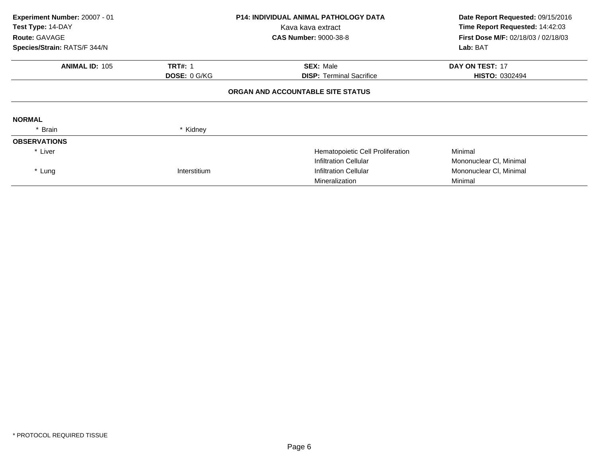| Experiment Number: 20007 - 01<br>Test Type: 14-DAY<br><b>Route: GAVAGE</b><br>Species/Strain: RATS/F 344/N |                                | <b>P14: INDIVIDUAL ANIMAL PATHOLOGY DATA</b><br>Kava kava extract<br><b>CAS Number: 9000-38-8</b> | Date Report Requested: 09/15/2016<br>Time Report Requested: 14:42:03<br><b>First Dose M/F: 02/18/03 / 02/18/03</b><br>Lab: BAT |
|------------------------------------------------------------------------------------------------------------|--------------------------------|---------------------------------------------------------------------------------------------------|--------------------------------------------------------------------------------------------------------------------------------|
| <b>ANIMAL ID: 105</b>                                                                                      | <b>TRT#: 1</b><br>DOSE: 0 G/KG | <b>SEX: Male</b><br><b>DISP:</b> Terminal Sacrifice                                               | <b>DAY ON TEST: 17</b><br><b>HISTO: 0302494</b>                                                                                |
|                                                                                                            |                                | ORGAN AND ACCOUNTABLE SITE STATUS                                                                 |                                                                                                                                |
| <b>NORMAL</b>                                                                                              |                                |                                                                                                   |                                                                                                                                |
| * Brain                                                                                                    | * Kidney                       |                                                                                                   |                                                                                                                                |
| <b>OBSERVATIONS</b>                                                                                        |                                |                                                                                                   |                                                                                                                                |
| * Liver                                                                                                    |                                | Hematopoietic Cell Proliferation                                                                  | Minimal                                                                                                                        |
|                                                                                                            |                                | <b>Infiltration Cellular</b>                                                                      | Mononuclear CI, Minimal                                                                                                        |
| * Lung                                                                                                     | Interstitium                   | <b>Infiltration Cellular</b>                                                                      | Mononuclear CI, Minimal                                                                                                        |
|                                                                                                            |                                | Mineralization                                                                                    | Minimal                                                                                                                        |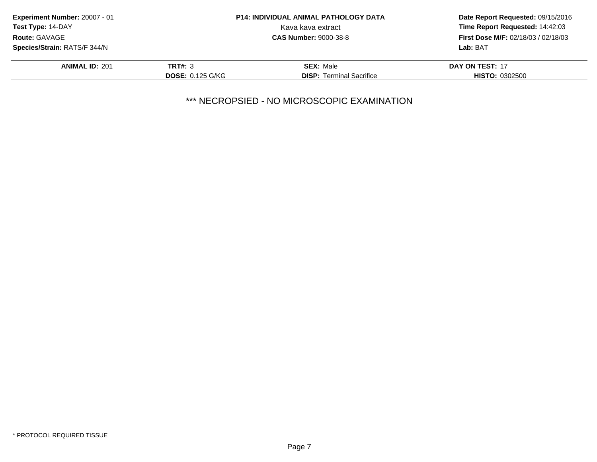| <b>Experiment Number: 20007 - 01</b> |                         | <b>P14: INDIVIDUAL ANIMAL PATHOLOGY DATA</b> | Date Report Requested: 09/15/2016          |  |
|--------------------------------------|-------------------------|----------------------------------------------|--------------------------------------------|--|
| Test Type: 14-DAY                    |                         | Kava kava extract                            | Time Report Requested: 14:42:03            |  |
| <b>Route: GAVAGE</b>                 |                         | <b>CAS Number: 9000-38-8</b>                 | <b>First Dose M/F: 02/18/03 / 02/18/03</b> |  |
| Species/Strain: RATS/F 344/N         |                         |                                              | Lab: BAT                                   |  |
| <b>ANIMAL ID: 201</b>                | <b>TRT#: 3</b>          | <b>SEX: Male</b>                             | DAY ON TEST: 17                            |  |
|                                      | <b>DOSE: 0.125 G/KG</b> | <b>DISP:</b> Terminal Sacrifice              | <b>HISTO: 0302500</b>                      |  |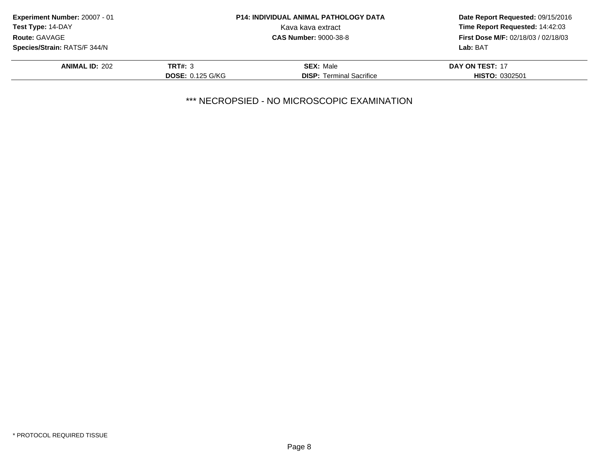| Experiment Number: 20007 - 01       |                         | <b>P14: INDIVIDUAL ANIMAL PATHOLOGY DATA</b> | Date Report Requested: 09/15/2016   |
|-------------------------------------|-------------------------|----------------------------------------------|-------------------------------------|
| <b>Test Type: 14-DAY</b>            |                         | Kava kava extract                            | Time Report Requested: 14:42:03     |
| Route: GAVAGE                       |                         | <b>CAS Number: 9000-38-8</b>                 | First Dose M/F: 02/18/03 / 02/18/03 |
| <b>Species/Strain: RATS/F 344/N</b> |                         |                                              | Lab: BAT                            |
| <b>ANIMAL ID: 202</b>               | <b>TRT#: 3</b>          | <b>SEX: Male</b>                             | DAY ON TEST: 17                     |
|                                     | <b>DOSE: 0.125 G/KG</b> | <b>DISP:</b> Terminal Sacrifice              | <b>HISTO: 0302501</b>               |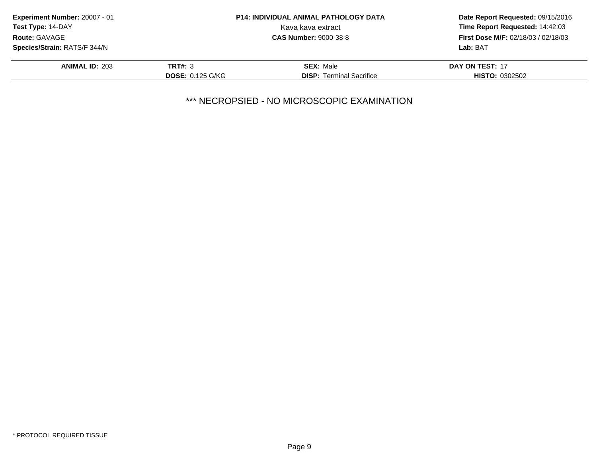| <b>Experiment Number: 20007 - 01</b> |                         | <b>P14: INDIVIDUAL ANIMAL PATHOLOGY DATA</b> | Date Report Requested: 09/15/2016          |  |
|--------------------------------------|-------------------------|----------------------------------------------|--------------------------------------------|--|
| Test Type: 14-DAY                    |                         | Kava kava extract                            | Time Report Requested: 14:42:03            |  |
| Route: GAVAGE                        |                         | <b>CAS Number: 9000-38-8</b>                 | <b>First Dose M/F: 02/18/03 / 02/18/03</b> |  |
| <b>Species/Strain: RATS/F 344/N</b>  |                         |                                              | Lab: BAT                                   |  |
| <b>ANIMAL ID: 203</b>                | <b>TRT#: 3</b>          | <b>SEX: Male</b>                             | DAY ON TEST: 17                            |  |
|                                      | <b>DOSE: 0.125 G/KG</b> | <b>DISP:</b> Terminal Sacrifice              | <b>HISTO: 0302502</b>                      |  |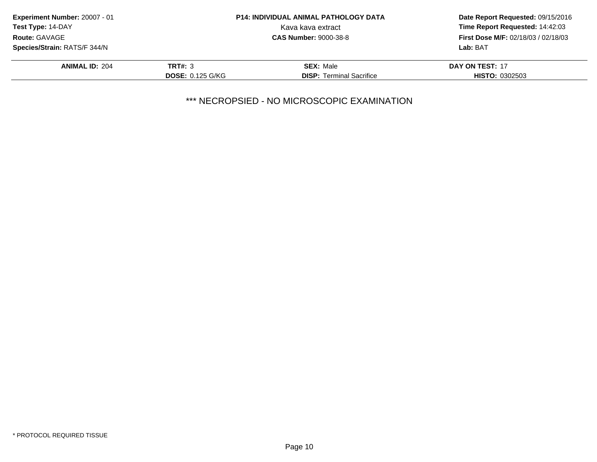| Experiment Number: 20007 - 01 |                         | <b>P14: INDIVIDUAL ANIMAL PATHOLOGY DATA</b> | Date Report Requested: 09/15/2016          |  |
|-------------------------------|-------------------------|----------------------------------------------|--------------------------------------------|--|
| Test Type: 14-DAY             |                         | Kava kava extract                            | Time Report Requested: 14:42:03            |  |
| <b>Route: GAVAGE</b>          |                         | <b>CAS Number: 9000-38-8</b>                 | <b>First Dose M/F: 02/18/03 / 02/18/03</b> |  |
| Species/Strain: RATS/F 344/N  |                         |                                              | Lab: BAT                                   |  |
| <b>ANIMAL ID: 204</b>         | <b>TRT#: 3</b>          | <b>SEX: Male</b>                             | DAY ON TEST: 17                            |  |
|                               | <b>DOSE: 0.125 G/KG</b> | <b>DISP:</b> Terminal Sacrifice              | <b>HISTO: 0302503</b>                      |  |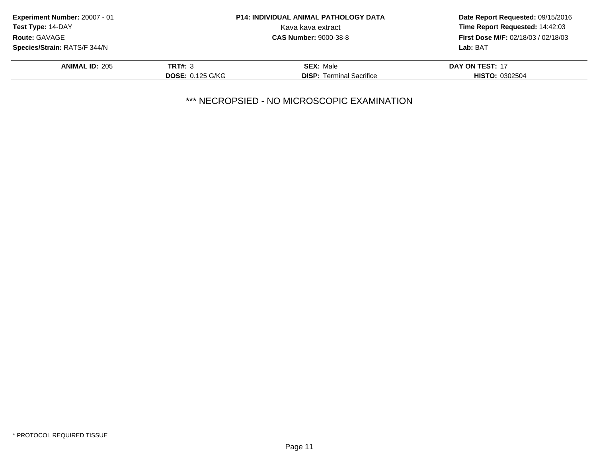| Experiment Number: 20007 - 01       |                         | <b>P14: INDIVIDUAL ANIMAL PATHOLOGY DATA</b> | Date Report Requested: 09/15/2016          |  |
|-------------------------------------|-------------------------|----------------------------------------------|--------------------------------------------|--|
| <b>Test Type: 14-DAY</b>            |                         | Kava kava extract                            | Time Report Requested: 14:42:03            |  |
| <b>Route: GAVAGE</b>                |                         | <b>CAS Number: 9000-38-8</b>                 | <b>First Dose M/F: 02/18/03 / 02/18/03</b> |  |
| <b>Species/Strain: RATS/F 344/N</b> |                         |                                              | Lab: BAT                                   |  |
| <b>ANIMAL ID: 205</b>               | <b>TRT#: 3</b>          | <b>SEX: Male</b>                             | DAY ON TEST: 17                            |  |
|                                     | <b>DOSE: 0.125 G/KG</b> | <b>DISP:</b> Terminal Sacrifice              | <b>HISTO: 0302504</b>                      |  |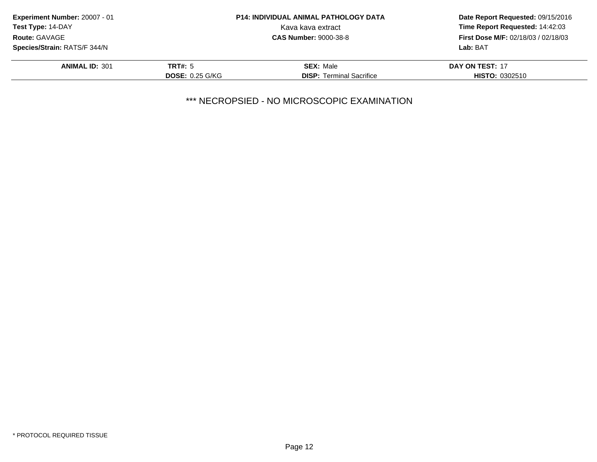| Experiment Number: 20007 - 01 |                        | <b>P14: INDIVIDUAL ANIMAL PATHOLOGY DATA</b> | Date Report Requested: 09/15/2016          |
|-------------------------------|------------------------|----------------------------------------------|--------------------------------------------|
| <b>Test Type: 14-DAY</b>      |                        | Kava kava extract                            | Time Report Requested: 14:42:03            |
| <b>Route: GAVAGE</b>          |                        | <b>CAS Number: 9000-38-8</b>                 | <b>First Dose M/F: 02/18/03 / 02/18/03</b> |
| Species/Strain: RATS/F 344/N  |                        |                                              | Lab: BAT                                   |
| <b>ANIMAL ID: 301</b>         | <b>TRT#: 5</b>         | <b>SEX: Male</b>                             | DAY ON TEST: 17                            |
|                               | <b>DOSE: 0.25 G/KG</b> | <b>DISP:</b> Terminal Sacrifice              | <b>HISTO: 0302510</b>                      |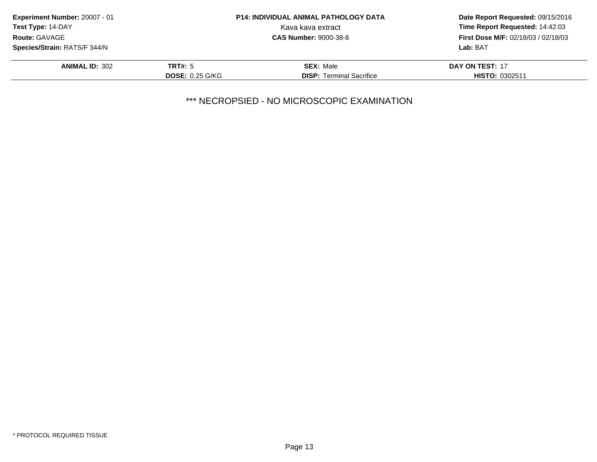| Experiment Number: 20007 - 01<br><b>P14: INDIVIDUAL ANIMAL PATHOLOGY DATA</b><br><b>Test Type: 14-DAY</b><br>Kava kava extract<br>Route: GAVAGE<br><b>CAS Number: 9000-38-8</b> |                        |                                            | Date Report Requested: 09/15/2016<br>Time Report Requested: 14:42:03 |
|---------------------------------------------------------------------------------------------------------------------------------------------------------------------------------|------------------------|--------------------------------------------|----------------------------------------------------------------------|
|                                                                                                                                                                                 |                        |                                            |                                                                      |
|                                                                                                                                                                                 |                        | <b>First Dose M/F: 02/18/03 / 02/18/03</b> |                                                                      |
| <b>Species/Strain: RATS/F 344/N</b>                                                                                                                                             |                        |                                            | Lab: BAT                                                             |
| <b>ANIMAL ID: 302</b>                                                                                                                                                           | TRT#: 5                | <b>SEX: Male</b>                           | DAY ON TEST: 17                                                      |
|                                                                                                                                                                                 | <b>DOSE: 0.25 G/KG</b> | <b>DISP:</b> Terminal Sacrifice            | <b>HISTO: 0302511</b>                                                |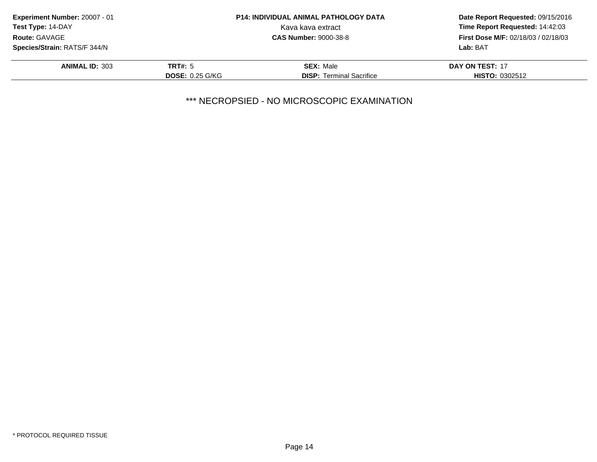| Experiment Number: 20007 - 01<br>Test Type: 14-DAY<br><b>Route: GAVAGE</b> |                        | <b>P14: INDIVIDUAL ANIMAL PATHOLOGY DATA</b> | Date Report Requested: 09/15/2016<br>Time Report Requested: 14:42:03<br><b>First Dose M/F: 02/18/03 / 02/18/03</b> |
|----------------------------------------------------------------------------|------------------------|----------------------------------------------|--------------------------------------------------------------------------------------------------------------------|
|                                                                            |                        | Kava kava extract                            |                                                                                                                    |
|                                                                            |                        | <b>CAS Number: 9000-38-8</b>                 |                                                                                                                    |
| <b>Species/Strain: RATS/F 344/N</b>                                        |                        |                                              | Lab: BAT                                                                                                           |
| <b>ANIMAL ID: 303</b>                                                      | <b>TRT#: 5</b>         | <b>SEX: Male</b>                             | DAY ON TEST: 17                                                                                                    |
|                                                                            | <b>DOSE: 0.25 G/KG</b> | <b>DISP:</b> Terminal Sacrifice              | <b>HISTO: 0302512</b>                                                                                              |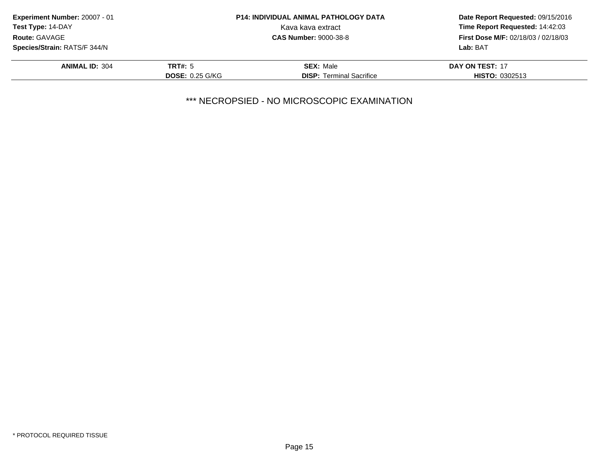| Experiment Number: 20007 - 01             |                        | <b>P14: INDIVIDUAL ANIMAL PATHOLOGY DATA</b> | Date Report Requested: 09/15/2016                                             |  |
|-------------------------------------------|------------------------|----------------------------------------------|-------------------------------------------------------------------------------|--|
| Test Type: 14-DAY<br><b>Route: GAVAGE</b> |                        | Kava kava extract                            | Time Report Requested: 14:42:03<br><b>First Dose M/F: 02/18/03 / 02/18/03</b> |  |
|                                           |                        | <b>CAS Number: 9000-38-8</b>                 |                                                                               |  |
| Species/Strain: RATS/F 344/N              |                        |                                              | Lab: BAT                                                                      |  |
| <b>ANIMAL ID: 304</b>                     | <b>TRT#: 5</b>         | <b>SEX: Male</b>                             | DAY ON TEST: 17                                                               |  |
|                                           | <b>DOSE: 0.25 G/KG</b> | <b>DISP:</b> Terminal Sacrifice              | <b>HISTO: 0302513</b>                                                         |  |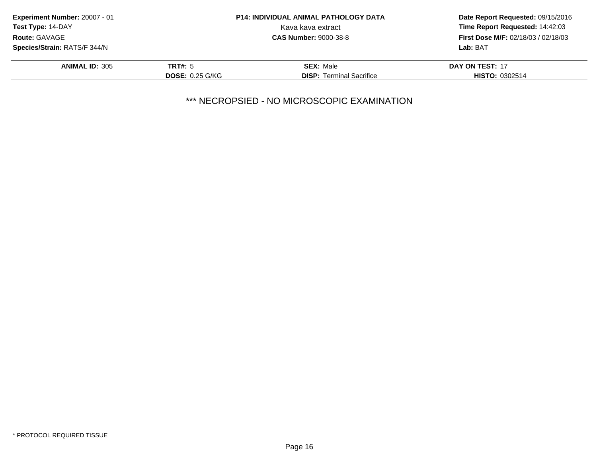| <b>Experiment Number: 20007 - 01</b><br><b>Test Type: 14-DAY</b><br>Route: GAVAGE |                        | <b>P14: INDIVIDUAL ANIMAL PATHOLOGY DATA</b> | Date Report Requested: 09/15/2016<br>Time Report Requested: 14:42:03<br><b>First Dose M/F: 02/18/03 / 02/18/03</b> |
|-----------------------------------------------------------------------------------|------------------------|----------------------------------------------|--------------------------------------------------------------------------------------------------------------------|
|                                                                                   |                        | Kava kava extract                            |                                                                                                                    |
|                                                                                   |                        | <b>CAS Number: 9000-38-8</b>                 |                                                                                                                    |
| <b>Species/Strain: RATS/F 344/N</b>                                               |                        |                                              | Lab: BAT                                                                                                           |
| <b>ANIMAL ID: 305</b>                                                             | <b>TRT#: 5</b>         | <b>SEX: Male</b>                             | DAY ON TEST: 17                                                                                                    |
|                                                                                   | <b>DOSE: 0.25 G/KG</b> | <b>DISP:</b> Terminal Sacrifice              | <b>HISTO: 0302514</b>                                                                                              |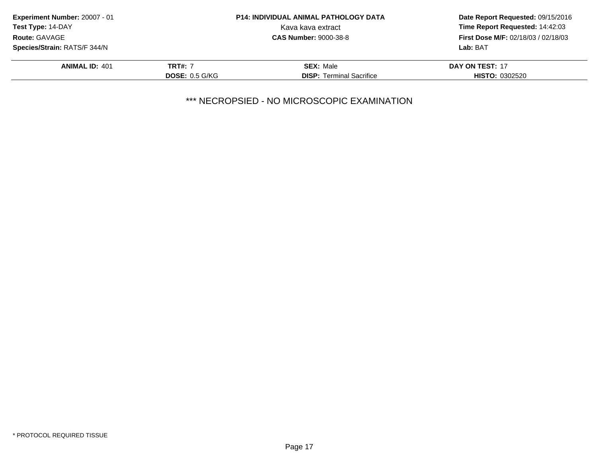| <b>Experiment Number: 20007 - 01</b><br><b>Test Type: 14-DAY</b><br><b>Route: GAVAGE</b> |                | <b>P14: INDIVIDUAL ANIMAL PATHOLOGY DATA</b> | Date Report Requested: 09/15/2016<br>Time Report Requested: 14:42:03<br><b>First Dose M/F: 02/18/03 / 02/18/03</b> |
|------------------------------------------------------------------------------------------|----------------|----------------------------------------------|--------------------------------------------------------------------------------------------------------------------|
|                                                                                          |                | Kava kava extract                            |                                                                                                                    |
|                                                                                          |                | <b>CAS Number: 9000-38-8</b>                 |                                                                                                                    |
| Species/Strain: RATS/F 344/N                                                             |                |                                              | Lab: BAT                                                                                                           |
| <b>ANIMAL ID: 401</b>                                                                    | <b>TRT#: 7</b> | <b>SEX: Male</b>                             | DAY ON TEST: 17                                                                                                    |
|                                                                                          | DOSE: 0.5 G/KG | <b>DISP:</b> Terminal Sacrifice              | <b>HISTO: 0302520</b>                                                                                              |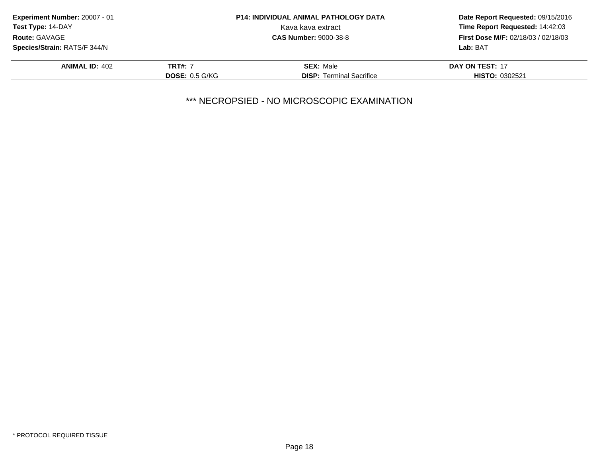| <b>P14: INDIVIDUAL ANIMAL PATHOLOGY DATA</b><br><b>Experiment Number: 20007 - 01</b><br>Test Type: 14-DAY<br>Kava kava extract<br>Route: GAVAGE<br><b>CAS Number: 9000-38-8</b> |                       |                                     | Date Report Requested: 09/15/2016<br>Time Report Requested: 14:42:03 |
|---------------------------------------------------------------------------------------------------------------------------------------------------------------------------------|-----------------------|-------------------------------------|----------------------------------------------------------------------|
|                                                                                                                                                                                 |                       |                                     |                                                                      |
|                                                                                                                                                                                 |                       | First Dose M/F: 02/18/03 / 02/18/03 |                                                                      |
| <b>Species/Strain: RATS/F 344/N</b>                                                                                                                                             |                       |                                     | Lab: BAT                                                             |
| <b>ANIMAL ID: 402</b>                                                                                                                                                           | <b>TRT#: 7</b>        | <b>SEX: Male</b>                    | DAY ON TEST: 17                                                      |
|                                                                                                                                                                                 | <b>DOSE: 0.5 G/KG</b> | <b>DISP:</b> Terminal Sacrifice     | <b>HISTO: 0302521</b>                                                |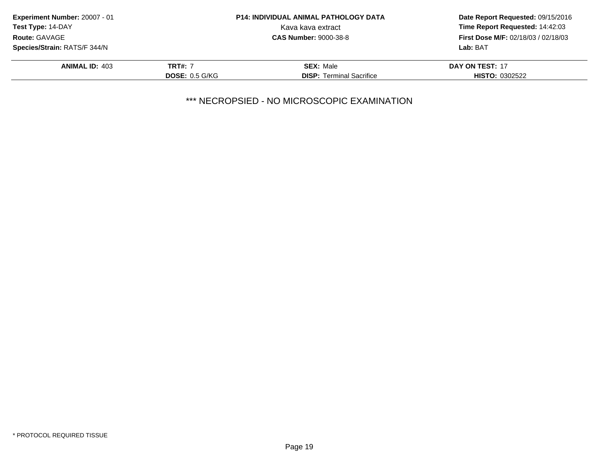| <b>Experiment Number: 20007 - 01</b><br><b>Test Type: 14-DAY</b><br>Kava kava extract<br>Route: GAVAGE<br><b>CAS Number: 9000-38-8</b> |                       | <b>P14: INDIVIDUAL ANIMAL PATHOLOGY DATA</b> | Date Report Requested: 09/15/2016<br>Time Report Requested: 14:42:03 |
|----------------------------------------------------------------------------------------------------------------------------------------|-----------------------|----------------------------------------------|----------------------------------------------------------------------|
|                                                                                                                                        |                       |                                              |                                                                      |
|                                                                                                                                        |                       |                                              | <b>First Dose M/F: 02/18/03 / 02/18/03</b>                           |
| <b>Species/Strain: RATS/F 344/N</b>                                                                                                    |                       |                                              | Lab: BAT                                                             |
| <b>ANIMAL ID: 403</b>                                                                                                                  | <b>TRT#: 7</b>        | <b>SEX: Male</b>                             | DAY ON TEST: 17                                                      |
|                                                                                                                                        | <b>DOSE: 0.5 G/KG</b> | <b>DISP:</b> Terminal Sacrifice              | <b>HISTO: 0302522</b>                                                |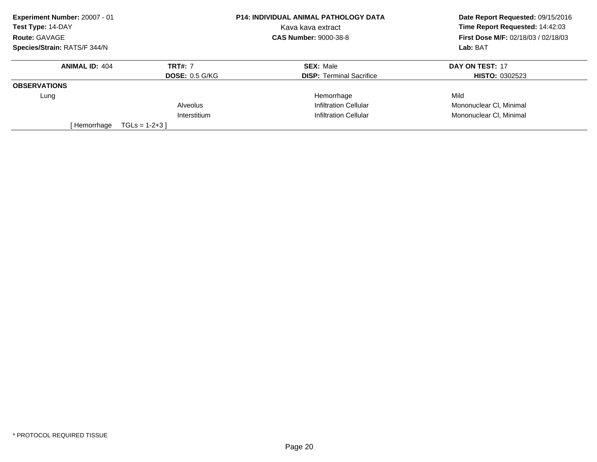| Experiment Number: 20007 - 01 |                       | P14: INDIVIDUAL ANIMAL PATHOLOGY DATA | Date Report Requested: 09/15/2016<br>Time Report Requested: 14:42:03 |
|-------------------------------|-----------------------|---------------------------------------|----------------------------------------------------------------------|
| Test Type: 14-DAY             |                       | Kava kava extract                     |                                                                      |
| Route: GAVAGE                 |                       | <b>CAS Number: 9000-38-8</b>          | <b>First Dose M/F: 02/18/03 / 02/18/03</b>                           |
| Species/Strain: RATS/F 344/N  |                       |                                       | Lab: BAT                                                             |
| <b>ANIMAL ID: 404</b>         | <b>TRT#: 7</b>        | <b>SEX: Male</b>                      | DAY ON TEST: 17                                                      |
|                               | <b>DOSE: 0.5 G/KG</b> | <b>DISP:</b> Terminal Sacrifice       | <b>HISTO: 0302523</b>                                                |
| <b>OBSERVATIONS</b>           |                       |                                       |                                                                      |
| Lung                          |                       | Hemorrhage                            | Mild                                                                 |
|                               | Alveolus              | Infiltration Cellular                 | Mononuclear CI, Minimal                                              |
|                               | Interstitium          | Infiltration Cellular                 | Mononuclear CI, Minimal                                              |
| [ Hemorrhage                  | $TGLS = 1-2+3$        |                                       |                                                                      |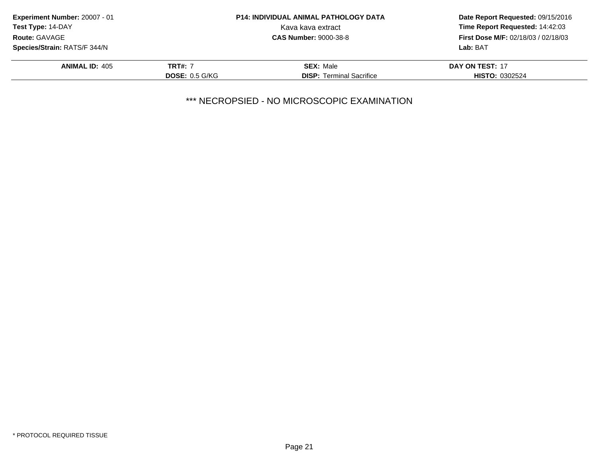| <b>Experiment Number: 20007 - 01</b>      |                       | <b>P14: INDIVIDUAL ANIMAL PATHOLOGY DATA</b> | Date Report Requested: 09/15/2016<br>Time Report Requested: 14:42:03 |
|-------------------------------------------|-----------------------|----------------------------------------------|----------------------------------------------------------------------|
| <b>Test Type: 14-DAY</b><br>Route: GAVAGE |                       | Kava kava extract                            |                                                                      |
|                                           |                       | <b>CAS Number: 9000-38-8</b>                 | <b>First Dose M/F: 02/18/03 / 02/18/03</b>                           |
| <b>Species/Strain: RATS/F 344/N</b>       |                       |                                              | Lab: BAT                                                             |
| <b>ANIMAL ID: 405</b>                     | <b>TRT#: 7</b>        | <b>SEX: Male</b>                             | DAY ON TEST: 17                                                      |
|                                           | <b>DOSE: 0.5 G/KG</b> | <b>DISP:</b> Terminal Sacrifice              | <b>HISTO: 0302524</b>                                                |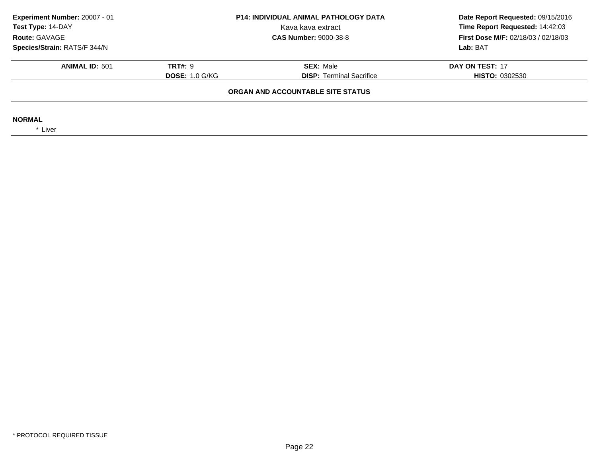| Experiment Number: 20007 - 01<br>Test Type: 14-DAY<br>Route: GAVAGE | <b>P14: INDIVIDUAL ANIMAL PATHOLOGY DATA</b><br>Kava kava extract<br><b>CAS Number: 9000-38-8</b> |                                   |                       |  | Date Report Requested: 09/15/2016<br>Time Report Requested: 14:42:03<br><b>First Dose M/F: 02/18/03 / 02/18/03</b> |
|---------------------------------------------------------------------|---------------------------------------------------------------------------------------------------|-----------------------------------|-----------------------|--|--------------------------------------------------------------------------------------------------------------------|
| Species/Strain: RATS/F 344/N                                        |                                                                                                   |                                   | Lab: BAT              |  |                                                                                                                    |
| <b>ANIMAL ID: 501</b>                                               | <b>TRT#: 9</b>                                                                                    | <b>SEX: Male</b>                  | DAY ON TEST: 17       |  |                                                                                                                    |
|                                                                     | <b>DOSE: 1.0 G/KG</b>                                                                             | <b>DISP:</b> Terminal Sacrifice   | <b>HISTO: 0302530</b> |  |                                                                                                                    |
|                                                                     |                                                                                                   | ORGAN AND ACCOUNTABLE SITE STATUS |                       |  |                                                                                                                    |
| <b>NORMAL</b><br>* Liver                                            |                                                                                                   |                                   |                       |  |                                                                                                                    |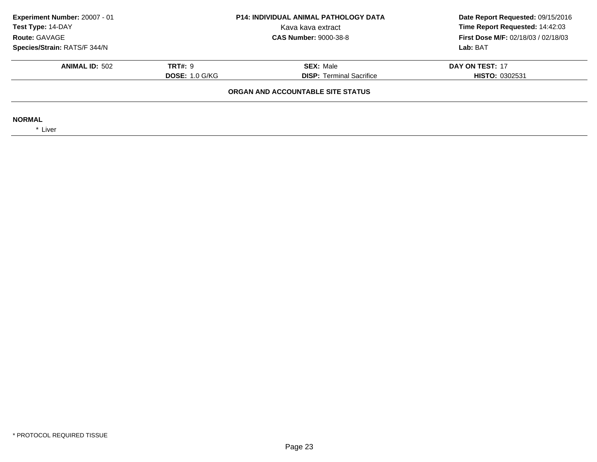| Experiment Number: 20007 - 01<br>Test Type: 14-DAY<br>Route: GAVAGE | <b>P14: INDIVIDUAL ANIMAL PATHOLOGY DATA</b><br>Kava kava extract<br><b>CAS Number: 9000-38-8</b> |                                   | Date Report Requested: 09/15/2016<br>Time Report Requested: 14:42:03<br>First Dose M/F: 02/18/03 / 02/18/03 |
|---------------------------------------------------------------------|---------------------------------------------------------------------------------------------------|-----------------------------------|-------------------------------------------------------------------------------------------------------------|
| Species/Strain: RATS/F 344/N                                        |                                                                                                   |                                   | Lab: BAT                                                                                                    |
| <b>ANIMAL ID: 502</b>                                               | <b>TRT#: 9</b>                                                                                    | <b>SEX: Male</b>                  | DAY ON TEST: 17                                                                                             |
|                                                                     | <b>DOSE: 1.0 G/KG</b>                                                                             | <b>DISP:</b> Terminal Sacrifice   | <b>HISTO: 0302531</b>                                                                                       |
|                                                                     |                                                                                                   | ORGAN AND ACCOUNTABLE SITE STATUS |                                                                                                             |
| <b>NORMAL</b><br>* Liver                                            |                                                                                                   |                                   |                                                                                                             |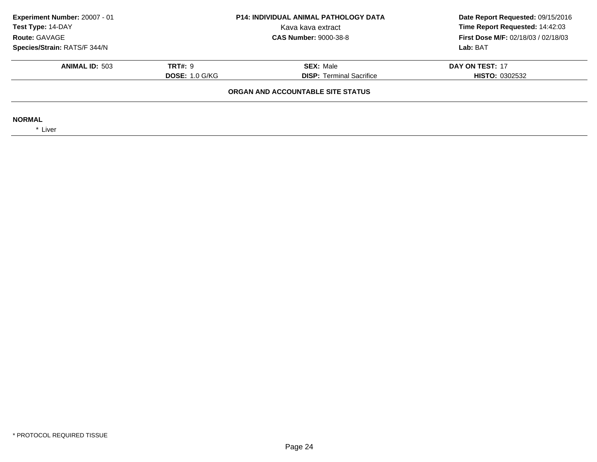| Experiment Number: 20007 - 01<br>Test Type: 14-DAY<br>Route: GAVAGE | <b>P14: INDIVIDUAL ANIMAL PATHOLOGY DATA</b><br>Kava kava extract<br><b>CAS Number: 9000-38-8</b> |                                   | Date Report Requested: 09/15/2016<br>Time Report Requested: 14:42:03<br>First Dose M/F: 02/18/03 / 02/18/03 |
|---------------------------------------------------------------------|---------------------------------------------------------------------------------------------------|-----------------------------------|-------------------------------------------------------------------------------------------------------------|
| Species/Strain: RATS/F 344/N                                        |                                                                                                   |                                   | Lab: BAT                                                                                                    |
|                                                                     |                                                                                                   |                                   |                                                                                                             |
| <b>ANIMAL ID: 503</b>                                               | <b>TRT#: 9</b>                                                                                    | <b>SEX: Male</b>                  | DAY ON TEST: 17                                                                                             |
|                                                                     | <b>DOSE: 1.0 G/KG</b>                                                                             | <b>DISP:</b> Terminal Sacrifice   | <b>HISTO: 0302532</b>                                                                                       |
|                                                                     |                                                                                                   | ORGAN AND ACCOUNTABLE SITE STATUS |                                                                                                             |
| <b>NORMAL</b><br>* Liver                                            |                                                                                                   |                                   |                                                                                                             |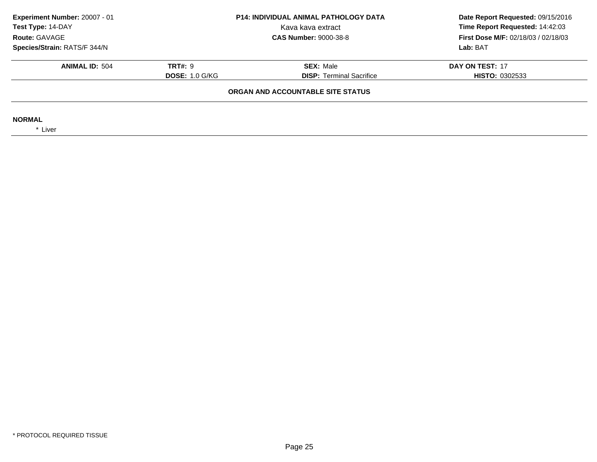| Experiment Number: 20007 - 01<br><b>P14: INDIVIDUAL ANIMAL PATHOLOGY DATA</b><br>Test Type: 14-DAY<br>Kava kava extract<br>Route: GAVAGE<br><b>CAS Number: 9000-38-8</b> |                       | Date Report Requested: 09/15/2016<br>Time Report Requested: 14:42:03<br>First Dose M/F: 02/18/03 / 02/18/03 |                       |
|--------------------------------------------------------------------------------------------------------------------------------------------------------------------------|-----------------------|-------------------------------------------------------------------------------------------------------------|-----------------------|
| Species/Strain: RATS/F 344/N                                                                                                                                             |                       |                                                                                                             | Lab: BAT              |
| <b>ANIMAL ID: 504</b>                                                                                                                                                    | <b>TRT#: 9</b>        | <b>SEX: Male</b>                                                                                            | DAY ON TEST: 17       |
|                                                                                                                                                                          | <b>DOSE: 1.0 G/KG</b> | <b>DISP:</b> Terminal Sacrifice                                                                             | <b>HISTO: 0302533</b> |
|                                                                                                                                                                          |                       | ORGAN AND ACCOUNTABLE SITE STATUS                                                                           |                       |
| <b>NORMAL</b><br>* Liver                                                                                                                                                 |                       |                                                                                                             |                       |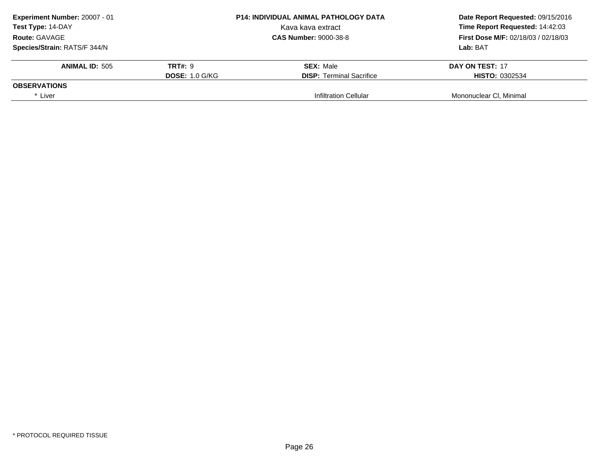| <b>Experiment Number: 20007 - 01</b><br>Test Type: 14-DAY |                       | <b>P14: INDIVIDUAL ANIMAL PATHOLOGY DATA</b> | Date Report Requested: 09/15/2016<br>Time Report Requested: 14:42:03 |
|-----------------------------------------------------------|-----------------------|----------------------------------------------|----------------------------------------------------------------------|
|                                                           |                       | Kava kava extract                            |                                                                      |
| <b>Route: GAVAGE</b>                                      |                       | <b>CAS Number: 9000-38-8</b>                 | <b>First Dose M/F: 02/18/03 / 02/18/03</b>                           |
| Species/Strain: RATS/F 344/N                              |                       |                                              | Lab: BAT                                                             |
| <b>ANIMAL ID: 505</b>                                     | <b>TRT#: 9</b>        | <b>SEX: Male</b>                             | DAY ON TEST: 17                                                      |
|                                                           | <b>DOSE: 1.0 G/KG</b> | <b>DISP:</b> Terminal Sacrifice              | <b>HISTO: 0302534</b>                                                |
| <b>OBSERVATIONS</b>                                       |                       |                                              |                                                                      |
| * Liver                                                   |                       | Infiltration Cellular                        | Mononuclear CI, Minimal                                              |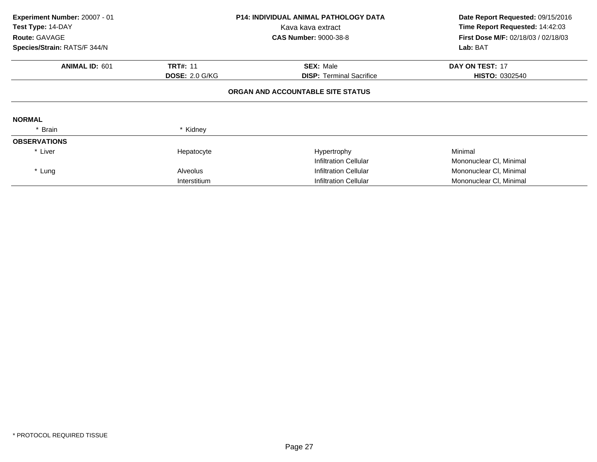|          | Kava kava extract<br><b>CAS Number: 9000-38-8</b>                                         | Date Report Requested: 09/15/2016<br>Time Report Requested: 14:42:03<br><b>First Dose M/F: 02/18/03 / 02/18/03</b><br>Lab: BAT |
|----------|-------------------------------------------------------------------------------------------|--------------------------------------------------------------------------------------------------------------------------------|
|          | <b>SEX: Male</b>                                                                          | DAY ON TEST: 17                                                                                                                |
|          | <b>DISP:</b> Terminal Sacrifice                                                           | <b>HISTO: 0302540</b>                                                                                                          |
|          |                                                                                           |                                                                                                                                |
|          |                                                                                           |                                                                                                                                |
| * Kidney |                                                                                           |                                                                                                                                |
|          |                                                                                           |                                                                                                                                |
|          | Hypertrophy                                                                               | Minimal                                                                                                                        |
|          | Infiltration Cellular                                                                     | Mononuclear CI, Minimal                                                                                                        |
|          | Infiltration Cellular                                                                     | Mononuclear CI, Minimal                                                                                                        |
|          | Infiltration Cellular                                                                     | Mononuclear CI, Minimal                                                                                                        |
|          | <b>TRT#: 11</b><br><b>DOSE: 2.0 G/KG</b><br>Hepatocyte<br><b>Alveolus</b><br>Interstitium | <b>P14: INDIVIDUAL ANIMAL PATHOLOGY DATA</b><br>ORGAN AND ACCOUNTABLE SITE STATUS                                              |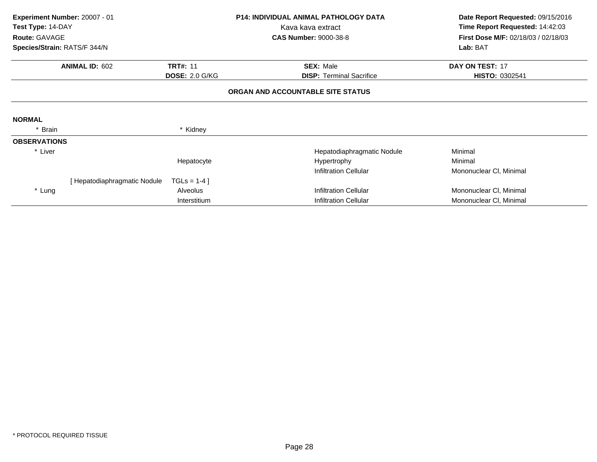| Experiment Number: 20007 - 01<br>Test Type: 14-DAY |                              |                       | <b>P14: INDIVIDUAL ANIMAL PATHOLOGY DATA</b><br>Kava kava extract |                                 | Date Report Requested: 09/15/2016<br>Time Report Requested: 14:42:03 |
|----------------------------------------------------|------------------------------|-----------------------|-------------------------------------------------------------------|---------------------------------|----------------------------------------------------------------------|
| Route: GAVAGE                                      |                              |                       | <b>CAS Number: 9000-38-8</b>                                      |                                 | First Dose M/F: 02/18/03 / 02/18/03                                  |
| Species/Strain: RATS/F 344/N                       |                              |                       |                                                                   |                                 | Lab: BAT                                                             |
|                                                    | <b>ANIMAL ID: 602</b>        | <b>TRT#: 11</b>       |                                                                   | <b>SEX: Male</b>                | DAY ON TEST: 17                                                      |
|                                                    |                              | <b>DOSE: 2.0 G/KG</b> |                                                                   | <b>DISP: Terminal Sacrifice</b> | HISTO: 0302541                                                       |
|                                                    |                              |                       | ORGAN AND ACCOUNTABLE SITE STATUS                                 |                                 |                                                                      |
| <b>NORMAL</b>                                      |                              |                       |                                                                   |                                 |                                                                      |
| Brain                                              |                              | * Kidney              |                                                                   |                                 |                                                                      |
| <b>OBSERVATIONS</b>                                |                              |                       |                                                                   |                                 |                                                                      |
| * Liver                                            |                              |                       |                                                                   | Hepatodiaphragmatic Nodule      | Minimal                                                              |
|                                                    |                              | Hepatocyte            |                                                                   | Hypertrophy                     | Minimal                                                              |
|                                                    |                              |                       |                                                                   | <b>Infiltration Cellular</b>    | Mononuclear CI, Minimal                                              |
|                                                    | [ Hepatodiaphragmatic Nodule | $TGLS = 1-4$ ]        |                                                                   |                                 |                                                                      |
| * Lung                                             |                              | <b>Alveolus</b>       |                                                                   | <b>Infiltration Cellular</b>    | Mononuclear CI, Minimal                                              |
|                                                    |                              | Interstitium          |                                                                   | <b>Infiltration Cellular</b>    | Mononuclear CI, Minimal                                              |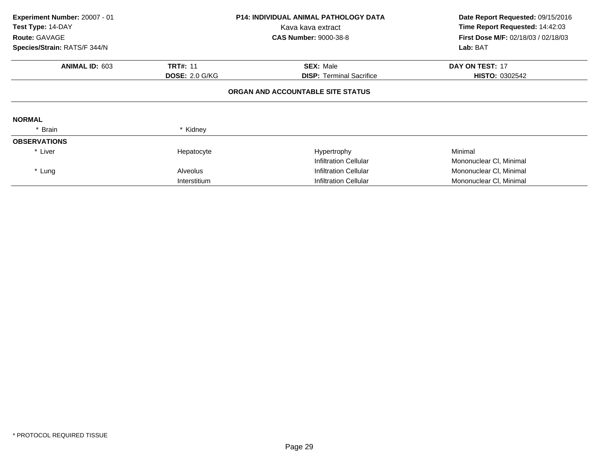| Experiment Number: 20007 - 01<br>Test Type: 14-DAY<br>Route: GAVAGE<br>Species/Strain: RATS/F 344/N |                       | <b>P14: INDIVIDUAL ANIMAL PATHOLOGY DATA</b><br>Kava kava extract<br><b>CAS Number: 9000-38-8</b> | Date Report Requested: 09/15/2016<br>Time Report Requested: 14:42:03<br><b>First Dose M/F: 02/18/03 / 02/18/03</b><br>Lab: BAT |
|-----------------------------------------------------------------------------------------------------|-----------------------|---------------------------------------------------------------------------------------------------|--------------------------------------------------------------------------------------------------------------------------------|
| <b>ANIMAL ID: 603</b>                                                                               | <b>TRT#: 11</b>       | <b>SEX: Male</b>                                                                                  | <b>DAY ON TEST: 17</b>                                                                                                         |
|                                                                                                     | <b>DOSE: 2.0 G/KG</b> | <b>DISP:</b> Terminal Sacrifice                                                                   | <b>HISTO: 0302542</b>                                                                                                          |
|                                                                                                     |                       | ORGAN AND ACCOUNTABLE SITE STATUS                                                                 |                                                                                                                                |
| <b>NORMAL</b>                                                                                       |                       |                                                                                                   |                                                                                                                                |
| * Brain                                                                                             | * Kidney              |                                                                                                   |                                                                                                                                |
| <b>OBSERVATIONS</b>                                                                                 |                       |                                                                                                   |                                                                                                                                |
| * Liver                                                                                             | Hepatocyte            | Hypertrophy                                                                                       | Minimal                                                                                                                        |
|                                                                                                     |                       | Infiltration Cellular                                                                             | Mononuclear CI, Minimal                                                                                                        |
| * Lung                                                                                              | <b>Alveolus</b>       | Infiltration Cellular                                                                             | Mononuclear CI, Minimal                                                                                                        |
|                                                                                                     | Interstitium          | <b>Infiltration Cellular</b>                                                                      | Mononuclear CI, Minimal                                                                                                        |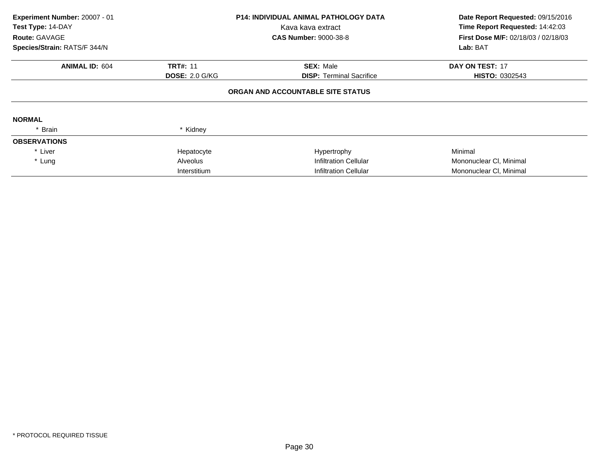| Experiment Number: 20007 - 01<br>Test Type: 14-DAY |                       | <b>P14: INDIVIDUAL ANIMAL PATHOLOGY DATA</b><br>Kava kava extract | Date Report Requested: 09/15/2016                                                         |
|----------------------------------------------------|-----------------------|-------------------------------------------------------------------|-------------------------------------------------------------------------------------------|
| Route: GAVAGE                                      |                       | <b>CAS Number: 9000-38-8</b>                                      | Time Report Requested: 14:42:03<br><b>First Dose M/F: 02/18/03 / 02/18/03</b><br>Lab: BAT |
| Species/Strain: RATS/F 344/N                       |                       |                                                                   |                                                                                           |
| <b>ANIMAL ID: 604</b>                              | <b>TRT#: 11</b>       | <b>SEX: Male</b>                                                  | <b>DAY ON TEST: 17</b>                                                                    |
|                                                    | <b>DOSE: 2.0 G/KG</b> | <b>DISP:</b> Terminal Sacrifice                                   | <b>HISTO: 0302543</b>                                                                     |
|                                                    |                       | ORGAN AND ACCOUNTABLE SITE STATUS                                 |                                                                                           |
| <b>NORMAL</b>                                      |                       |                                                                   |                                                                                           |
| Brain                                              | * Kidney              |                                                                   |                                                                                           |
| <b>OBSERVATIONS</b>                                |                       |                                                                   |                                                                                           |
| * Liver                                            | Hepatocyte            | Hypertrophy                                                       | Minimal                                                                                   |
| * Lung                                             | Alveolus              | Infiltration Cellular                                             | Mononuclear CI, Minimal                                                                   |
|                                                    | Interstitium          | <b>Infiltration Cellular</b>                                      | Mononuclear CI, Minimal                                                                   |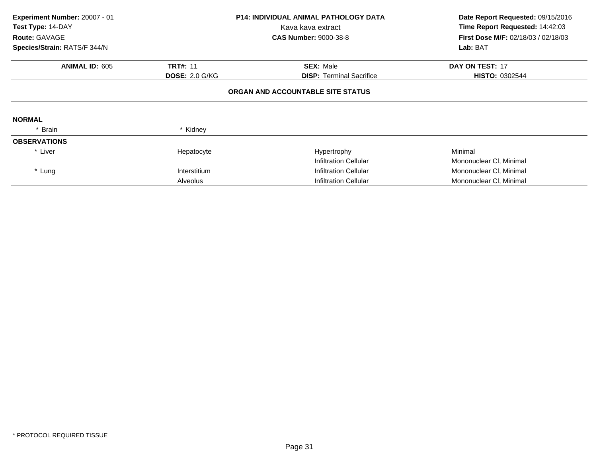| Experiment Number: 20007 - 01<br>Test Type: 14-DAY<br>Route: GAVAGE<br>Species/Strain: RATS/F 344/N |                       | <b>P14: INDIVIDUAL ANIMAL PATHOLOGY DATA</b><br>Kava kava extract<br><b>CAS Number: 9000-38-8</b> | Date Report Requested: 09/15/2016<br>Time Report Requested: 14:42:03<br><b>First Dose M/F: 02/18/03 / 02/18/03</b><br>Lab: BAT |
|-----------------------------------------------------------------------------------------------------|-----------------------|---------------------------------------------------------------------------------------------------|--------------------------------------------------------------------------------------------------------------------------------|
| <b>ANIMAL ID: 605</b>                                                                               | <b>TRT#: 11</b>       | <b>SEX: Male</b>                                                                                  | <b>DAY ON TEST: 17</b>                                                                                                         |
|                                                                                                     | <b>DOSE: 2.0 G/KG</b> | <b>DISP:</b> Terminal Sacrifice                                                                   | <b>HISTO: 0302544</b>                                                                                                          |
|                                                                                                     |                       | ORGAN AND ACCOUNTABLE SITE STATUS                                                                 |                                                                                                                                |
| <b>NORMAL</b>                                                                                       |                       |                                                                                                   |                                                                                                                                |
| * Brain                                                                                             | * Kidney              |                                                                                                   |                                                                                                                                |
| <b>OBSERVATIONS</b>                                                                                 |                       |                                                                                                   |                                                                                                                                |
| * Liver                                                                                             | Hepatocyte            | Hypertrophy                                                                                       | Minimal                                                                                                                        |
|                                                                                                     |                       | Infiltration Cellular                                                                             | Mononuclear CI, Minimal                                                                                                        |
| * Lung                                                                                              | Interstitium          | Infiltration Cellular                                                                             | Mononuclear CI, Minimal                                                                                                        |
|                                                                                                     | Alveolus              | <b>Infiltration Cellular</b>                                                                      | Mononuclear CI, Minimal                                                                                                        |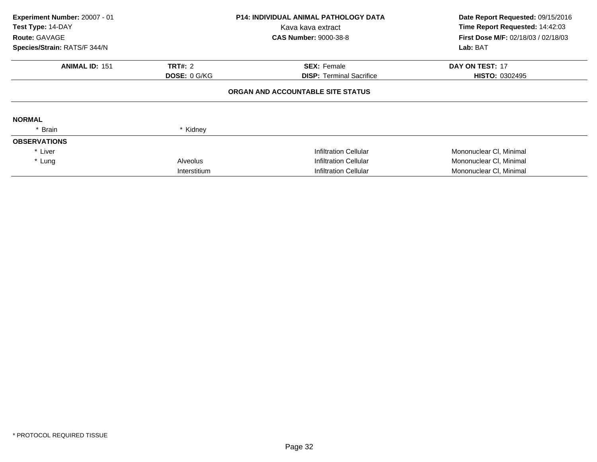| Experiment Number: 20007 - 01<br>Test Type: 14-DAY |                     | <b>P14: INDIVIDUAL ANIMAL PATHOLOGY DATA</b> | Date Report Requested: 09/15/2016   |  |
|----------------------------------------------------|---------------------|----------------------------------------------|-------------------------------------|--|
|                                                    |                     | Kava kava extract                            | Time Report Requested: 14:42:03     |  |
| <b>Route: GAVAGE</b>                               |                     | <b>CAS Number: 9000-38-8</b>                 | First Dose M/F: 02/18/03 / 02/18/03 |  |
| Species/Strain: RATS/F 344/N                       |                     |                                              | Lab: BAT                            |  |
| <b>ANIMAL ID: 151</b>                              | <b>TRT#: 2</b>      | <b>SEX: Female</b>                           | DAY ON TEST: 17                     |  |
|                                                    | <b>DOSE: 0 G/KG</b> | <b>DISP:</b> Terminal Sacrifice              | <b>HISTO: 0302495</b>               |  |
|                                                    |                     | ORGAN AND ACCOUNTABLE SITE STATUS            |                                     |  |
| <b>NORMAL</b>                                      |                     |                                              |                                     |  |
| * Brain                                            | * Kidney            |                                              |                                     |  |
| <b>OBSERVATIONS</b>                                |                     |                                              |                                     |  |
| * Liver                                            |                     | <b>Infiltration Cellular</b>                 | Mononuclear CI, Minimal             |  |
| * Lung                                             | <b>Alveolus</b>     | <b>Infiltration Cellular</b>                 | Mononuclear CI, Minimal             |  |
|                                                    | Interstitium        | <b>Infiltration Cellular</b>                 | Mononuclear CI, Minimal             |  |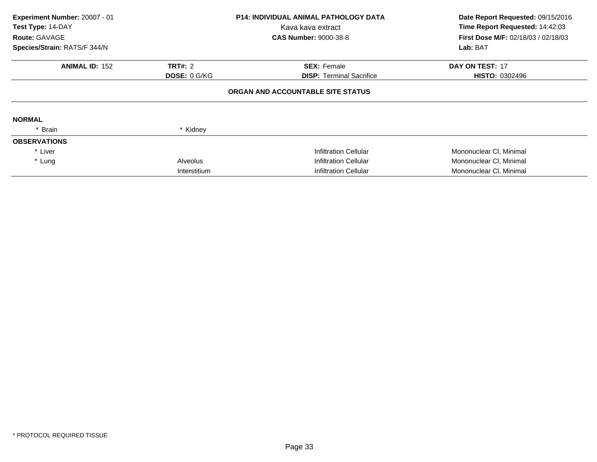| Experiment Number: 20007 - 01<br>Test Type: 14-DAY |                     | <b>P14: INDIVIDUAL ANIMAL PATHOLOGY DATA</b> | Date Report Requested: 09/15/2016   |  |
|----------------------------------------------------|---------------------|----------------------------------------------|-------------------------------------|--|
|                                                    |                     | Kava kava extract                            | Time Report Requested: 14:42:03     |  |
| <b>Route: GAVAGE</b>                               |                     | <b>CAS Number: 9000-38-8</b>                 | First Dose M/F: 02/18/03 / 02/18/03 |  |
| Species/Strain: RATS/F 344/N                       |                     |                                              | Lab: BAT                            |  |
| <b>ANIMAL ID: 152</b>                              | <b>TRT#: 2</b>      | <b>SEX: Female</b>                           | DAY ON TEST: 17                     |  |
|                                                    | <b>DOSE: 0 G/KG</b> | <b>DISP:</b> Terminal Sacrifice              | <b>HISTO: 0302496</b>               |  |
|                                                    |                     | ORGAN AND ACCOUNTABLE SITE STATUS            |                                     |  |
| <b>NORMAL</b>                                      |                     |                                              |                                     |  |
| * Brain                                            | * Kidney            |                                              |                                     |  |
| <b>OBSERVATIONS</b>                                |                     |                                              |                                     |  |
| * Liver                                            |                     | <b>Infiltration Cellular</b>                 | Mononuclear CI, Minimal             |  |
| * Lung                                             | <b>Alveolus</b>     | <b>Infiltration Cellular</b>                 | Mononuclear CI, Minimal             |  |
|                                                    | Interstitium        | <b>Infiltration Cellular</b>                 | Mononuclear CI, Minimal             |  |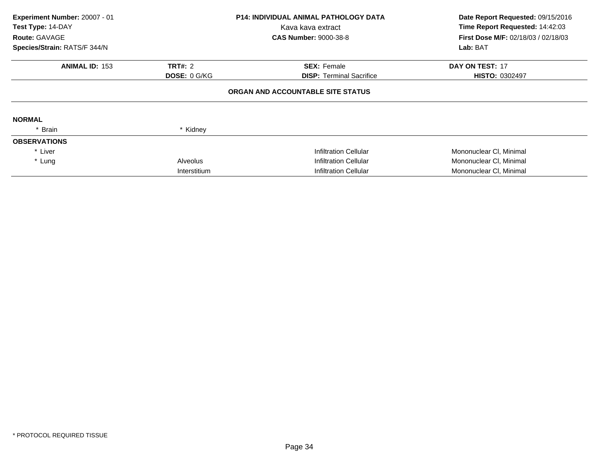| Experiment Number: 20007 - 01<br>Test Type: 14-DAY |                     | <b>P14: INDIVIDUAL ANIMAL PATHOLOGY DATA</b><br>Kava kava extract | Date Report Requested: 09/15/2016<br>Time Report Requested: 14:42:03 |  |
|----------------------------------------------------|---------------------|-------------------------------------------------------------------|----------------------------------------------------------------------|--|
| Route: GAVAGE                                      |                     | <b>CAS Number: 9000-38-8</b>                                      | <b>First Dose M/F: 02/18/03 / 02/18/03</b>                           |  |
| Species/Strain: RATS/F 344/N                       |                     |                                                                   | Lab: BAT                                                             |  |
| <b>ANIMAL ID: 153</b>                              | <b>TRT#: 2</b>      | <b>SEX: Female</b>                                                | <b>DAY ON TEST: 17</b>                                               |  |
|                                                    | <b>DOSE: 0 G/KG</b> | <b>DISP: Terminal Sacrifice</b>                                   | <b>HISTO: 0302497</b>                                                |  |
|                                                    |                     | ORGAN AND ACCOUNTABLE SITE STATUS                                 |                                                                      |  |
| <b>NORMAL</b>                                      |                     |                                                                   |                                                                      |  |
| * Brain                                            | * Kidney            |                                                                   |                                                                      |  |
| <b>OBSERVATIONS</b>                                |                     |                                                                   |                                                                      |  |
| * Liver                                            |                     | Infiltration Cellular                                             | Mononuclear CI, Minimal                                              |  |
| * Lung                                             | <b>Alveolus</b>     | <b>Infiltration Cellular</b>                                      | Mononuclear CI, Minimal                                              |  |
|                                                    | Interstitium        | <b>Infiltration Cellular</b>                                      | Mononuclear CI, Minimal                                              |  |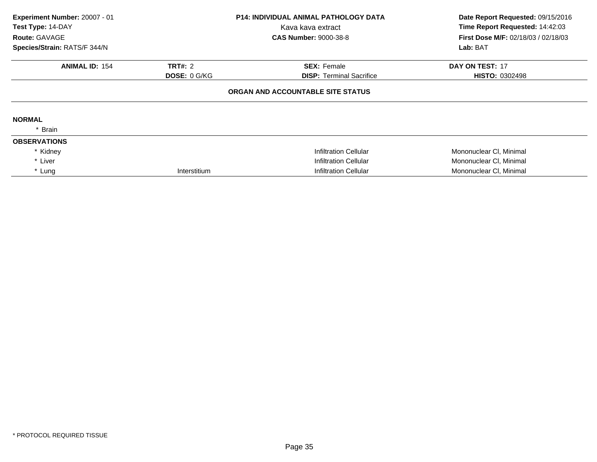| Experiment Number: 20007 - 01<br>Test Type: 14-DAY<br>Route: GAVAGE | <b>P14: INDIVIDUAL ANIMAL PATHOLOGY DATA</b><br>Kava kava extract<br><b>CAS Number: 9000-38-8</b> |                                   | Date Report Requested: 09/15/2016<br>Time Report Requested: 14:42:03<br>First Dose M/F: 02/18/03 / 02/18/03 |  |
|---------------------------------------------------------------------|---------------------------------------------------------------------------------------------------|-----------------------------------|-------------------------------------------------------------------------------------------------------------|--|
| Species/Strain: RATS/F 344/N                                        |                                                                                                   |                                   | Lab: BAT                                                                                                    |  |
| <b>ANIMAL ID: 154</b>                                               | <b>TRT#: 2</b>                                                                                    | <b>SEX: Female</b>                | <b>DAY ON TEST: 17</b>                                                                                      |  |
|                                                                     | <b>DOSE: 0 G/KG</b>                                                                               | <b>DISP: Terminal Sacrifice</b>   | <b>HISTO: 0302498</b>                                                                                       |  |
|                                                                     |                                                                                                   | ORGAN AND ACCOUNTABLE SITE STATUS |                                                                                                             |  |
| <b>NORMAL</b>                                                       |                                                                                                   |                                   |                                                                                                             |  |
| * Brain                                                             |                                                                                                   |                                   |                                                                                                             |  |
| <b>OBSERVATIONS</b>                                                 |                                                                                                   |                                   |                                                                                                             |  |
| * Kidney                                                            |                                                                                                   | <b>Infiltration Cellular</b>      | Mononuclear CI, Minimal                                                                                     |  |
| * Liver                                                             |                                                                                                   | Infiltration Cellular             | Mononuclear CI, Minimal                                                                                     |  |
| * Lung                                                              | Interstitium                                                                                      | <b>Infiltration Cellular</b>      | Mononuclear CI, Minimal                                                                                     |  |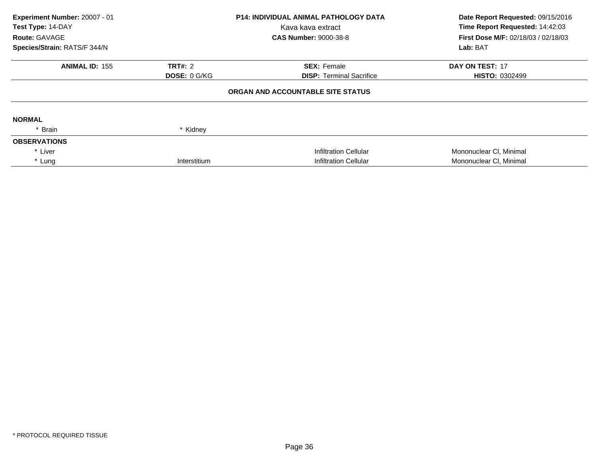| Experiment Number: 20007 - 01<br>Test Type: 14-DAY |                     | <b>P14: INDIVIDUAL ANIMAL PATHOLOGY DATA</b> | Date Report Requested: 09/15/2016<br>Time Report Requested: 14:42:03 |
|----------------------------------------------------|---------------------|----------------------------------------------|----------------------------------------------------------------------|
|                                                    |                     | Kava kava extract                            |                                                                      |
| <b>Route: GAVAGE</b>                               |                     | <b>CAS Number: 9000-38-8</b>                 | <b>First Dose M/F: 02/18/03 / 02/18/03</b>                           |
| Species/Strain: RATS/F 344/N                       |                     |                                              | Lab: BAT                                                             |
| <b>ANIMAL ID: 155</b>                              | <b>TRT#: 2</b>      | <b>SEX: Female</b>                           | DAY ON TEST: 17                                                      |
|                                                    | <b>DOSE: 0 G/KG</b> | <b>DISP: Terminal Sacrifice</b>              | <b>HISTO: 0302499</b>                                                |
|                                                    |                     | ORGAN AND ACCOUNTABLE SITE STATUS            |                                                                      |
| <b>NORMAL</b>                                      |                     |                                              |                                                                      |
| * Brain                                            | * Kidney            |                                              |                                                                      |
| <b>OBSERVATIONS</b>                                |                     |                                              |                                                                      |
| * Liver                                            |                     | Infiltration Cellular                        | Mononuclear CI, Minimal                                              |
| * Lung                                             | Interstitium        | <b>Infiltration Cellular</b>                 | Mononuclear CI, Minimal                                              |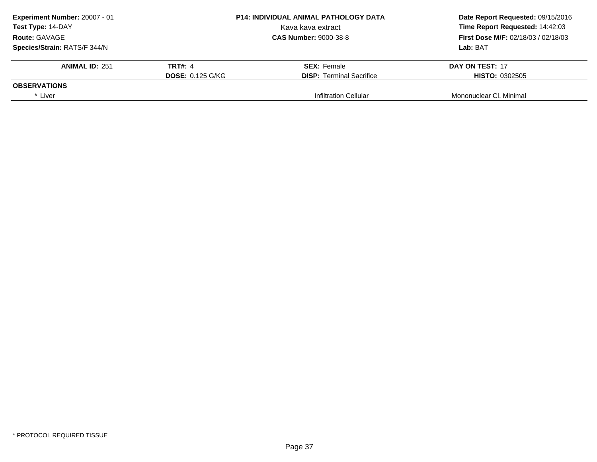| Experiment Number: 20007 - 01 |                         | <b>P14: INDIVIDUAL ANIMAL PATHOLOGY DATA</b> | Date Report Requested: 09/15/2016   |
|-------------------------------|-------------------------|----------------------------------------------|-------------------------------------|
| Test Type: 14-DAY             |                         | Kava kava extract                            | Time Report Requested: 14:42:03     |
| Route: GAVAGE                 |                         | <b>CAS Number: 9000-38-8</b>                 | First Dose M/F: 02/18/03 / 02/18/03 |
| Species/Strain: RATS/F 344/N  |                         |                                              | Lab: BAT                            |
| <b>ANIMAL ID: 251</b>         | <b>TRT#: 4</b>          | <b>SEX:</b> Female                           | DAY ON TEST: 17                     |
|                               | <b>DOSE: 0.125 G/KG</b> | <b>DISP:</b> Terminal Sacrifice              | <b>HISTO: 0302505</b>               |
| <b>OBSERVATIONS</b>           |                         |                                              |                                     |
| * Liver                       |                         | <b>Infiltration Cellular</b>                 | Mononuclear CI, Minimal             |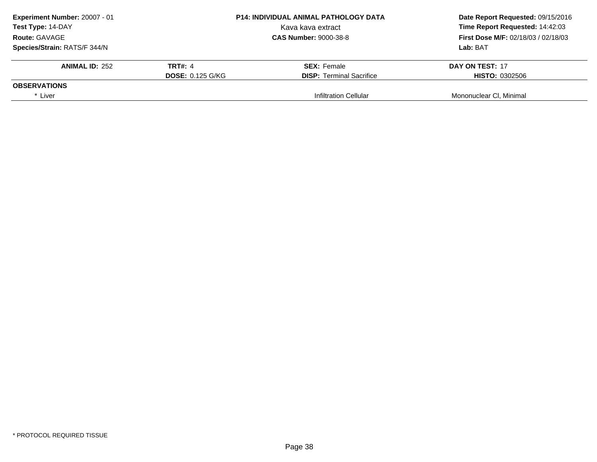| Experiment Number: 20007 - 01 |                         | <b>P14: INDIVIDUAL ANIMAL PATHOLOGY DATA</b> | Date Report Requested: 09/15/2016   |
|-------------------------------|-------------------------|----------------------------------------------|-------------------------------------|
| Test Type: 14-DAY             |                         | Kava kava extract                            | Time Report Requested: 14:42:03     |
| Route: GAVAGE                 |                         | <b>CAS Number: 9000-38-8</b>                 | First Dose M/F: 02/18/03 / 02/18/03 |
| Species/Strain: RATS/F 344/N  |                         |                                              | Lab: BAT                            |
| <b>ANIMAL ID: 252</b>         | <b>TRT#: 4</b>          | <b>SEX:</b> Female                           | DAY ON TEST: 17                     |
|                               | <b>DOSE: 0.125 G/KG</b> | <b>DISP:</b> Terminal Sacrifice              | <b>HISTO: 0302506</b>               |
| <b>OBSERVATIONS</b>           |                         |                                              |                                     |
| * Liver                       |                         | <b>Infiltration Cellular</b>                 | Mononuclear CI, Minimal             |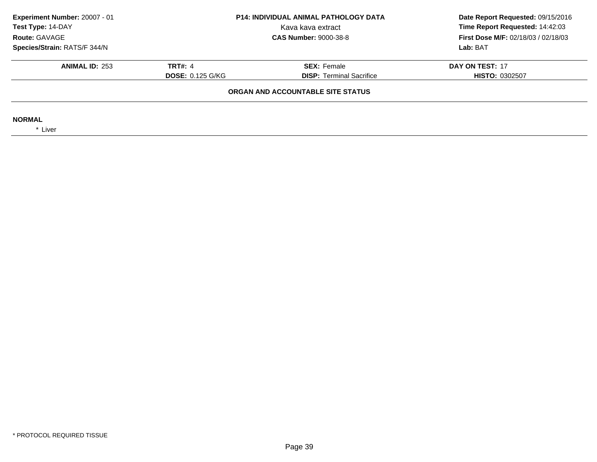| Experiment Number: 20007 - 01<br>Test Type: 14-DAY | P14: INDIVIDUAL ANIMAL PATHOLOGY DATA<br>Kava kava extract |                                 | Date Report Requested: 09/15/2016<br>Time Report Requested: 14:42:03 |  |  |
|----------------------------------------------------|------------------------------------------------------------|---------------------------------|----------------------------------------------------------------------|--|--|
| Route: GAVAGE                                      |                                                            | <b>CAS Number: 9000-38-8</b>    | <b>First Dose M/F: 02/18/03 / 02/18/03</b>                           |  |  |
| Species/Strain: RATS/F 344/N                       |                                                            |                                 | Lab: BAT                                                             |  |  |
| <b>ANIMAL ID: 253</b>                              | <b>TRT#: 4</b>                                             | <b>SEX: Female</b>              | DAY ON TEST: 17                                                      |  |  |
|                                                    | <b>DOSE: 0.125 G/KG</b>                                    | <b>DISP:</b> Terminal Sacrifice | <b>HISTO: 0302507</b>                                                |  |  |
| ORGAN AND ACCOUNTABLE SITE STATUS                  |                                                            |                                 |                                                                      |  |  |
| <b>NORMAL</b><br>* Liver                           |                                                            |                                 |                                                                      |  |  |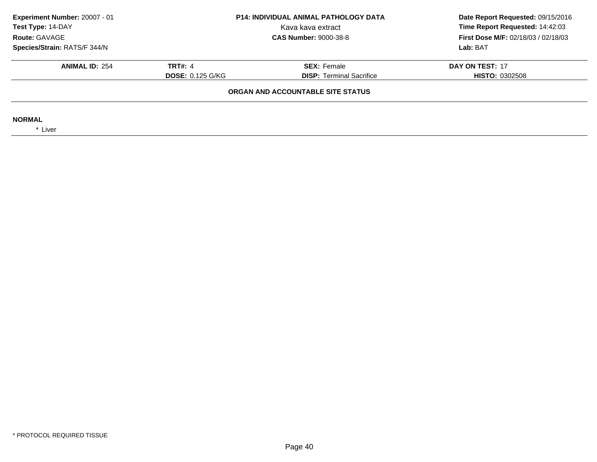| Experiment Number: 20007 - 01<br>Test Type: 14-DAY<br>Route: GAVAGE | <b>P14: INDIVIDUAL ANIMAL PATHOLOGY DATA</b><br>Kava kava extract<br><b>CAS Number: 9000-38-8</b> |                                 | Date Report Requested: 09/15/2016<br>Time Report Requested: 14:42:03<br>First Dose M/F: 02/18/03 / 02/18/03 |  |  |
|---------------------------------------------------------------------|---------------------------------------------------------------------------------------------------|---------------------------------|-------------------------------------------------------------------------------------------------------------|--|--|
| Species/Strain: RATS/F 344/N                                        |                                                                                                   |                                 | Lab: BAT                                                                                                    |  |  |
| <b>ANIMAL ID: 254</b>                                               | <b>TRT#: 4</b>                                                                                    | <b>SEX: Female</b>              | DAY ON TEST: 17                                                                                             |  |  |
|                                                                     | <b>DOSE: 0.125 G/KG</b>                                                                           | <b>DISP:</b> Terminal Sacrifice | <b>HISTO: 0302508</b>                                                                                       |  |  |
| ORGAN AND ACCOUNTABLE SITE STATUS                                   |                                                                                                   |                                 |                                                                                                             |  |  |
| <b>NORMAL</b><br>* Liver                                            |                                                                                                   |                                 |                                                                                                             |  |  |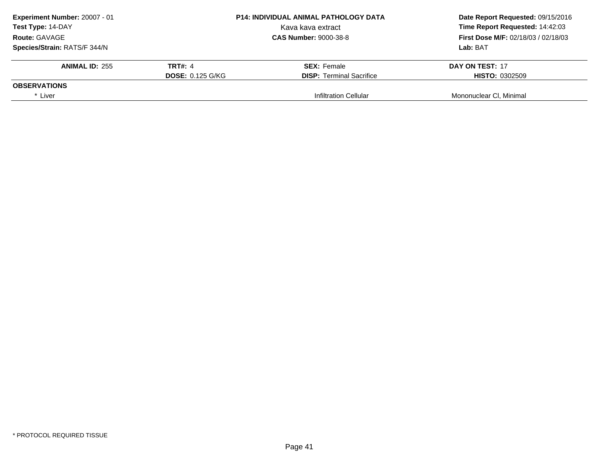| Experiment Number: 20007 - 01 |                         | <b>P14: INDIVIDUAL ANIMAL PATHOLOGY DATA</b> | Date Report Requested: 09/15/2016   |
|-------------------------------|-------------------------|----------------------------------------------|-------------------------------------|
| Test Type: 14-DAY             |                         | Kava kava extract                            | Time Report Requested: 14:42:03     |
| Route: GAVAGE                 |                         | <b>CAS Number: 9000-38-8</b>                 | First Dose M/F: 02/18/03 / 02/18/03 |
| Species/Strain: RATS/F 344/N  |                         |                                              | Lab: BAT                            |
| <b>ANIMAL ID: 255</b>         | <b>TRT#: 4</b>          | <b>SEX:</b> Female                           | DAY ON TEST: 17                     |
|                               | <b>DOSE: 0.125 G/KG</b> | <b>DISP:</b> Terminal Sacrifice              | <b>HISTO: 0302509</b>               |
| <b>OBSERVATIONS</b>           |                         |                                              |                                     |
| * Liver                       |                         | <b>Infiltration Cellular</b>                 | Mononuclear CI, Minimal             |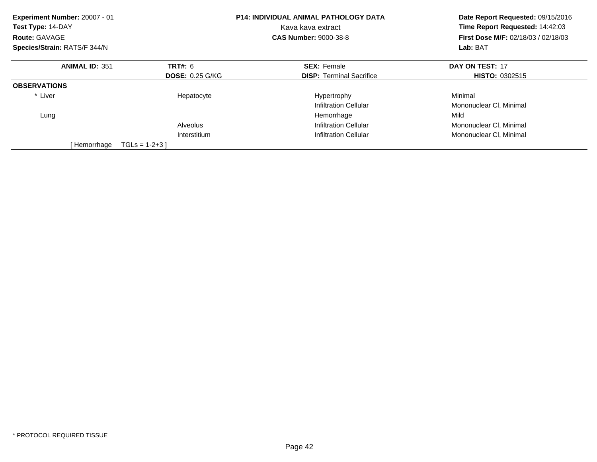| Experiment Number: 20007 - 01<br>Test Type: 14-DAY<br>Route: GAVAGE<br>Species/Strain: RATS/F 344/N |                        | <b>P14: INDIVIDUAL ANIMAL PATHOLOGY DATA</b><br>Kava kava extract<br><b>CAS Number: 9000-38-8</b> | Date Report Requested: 09/15/2016<br>Time Report Requested: 14:42:03<br><b>First Dose M/F: 02/18/03 / 02/18/03</b><br>Lab: BAT |
|-----------------------------------------------------------------------------------------------------|------------------------|---------------------------------------------------------------------------------------------------|--------------------------------------------------------------------------------------------------------------------------------|
|                                                                                                     |                        |                                                                                                   |                                                                                                                                |
| <b>ANIMAL ID: 351</b>                                                                               | <b>TRT#: 6</b>         | <b>SEX: Female</b>                                                                                | DAY ON TEST: 17                                                                                                                |
|                                                                                                     | <b>DOSE: 0.25 G/KG</b> | <b>DISP:</b> Terminal Sacrifice                                                                   | <b>HISTO: 0302515</b>                                                                                                          |
| <b>OBSERVATIONS</b>                                                                                 |                        |                                                                                                   |                                                                                                                                |
| * Liver                                                                                             | Hepatocyte             | Hypertrophy                                                                                       | Minimal                                                                                                                        |
|                                                                                                     |                        | Infiltration Cellular                                                                             | Mononuclear CI, Minimal                                                                                                        |
| Lung                                                                                                |                        | Hemorrhage                                                                                        | Mild                                                                                                                           |
|                                                                                                     | Alveolus               | <b>Infiltration Cellular</b>                                                                      | Mononuclear CI, Minimal                                                                                                        |
|                                                                                                     | Interstitium           | <b>Infiltration Cellular</b>                                                                      | Mononuclear CI, Minimal                                                                                                        |
| [ Hemorrhage                                                                                        | $TGLs = 1-2+3$         |                                                                                                   |                                                                                                                                |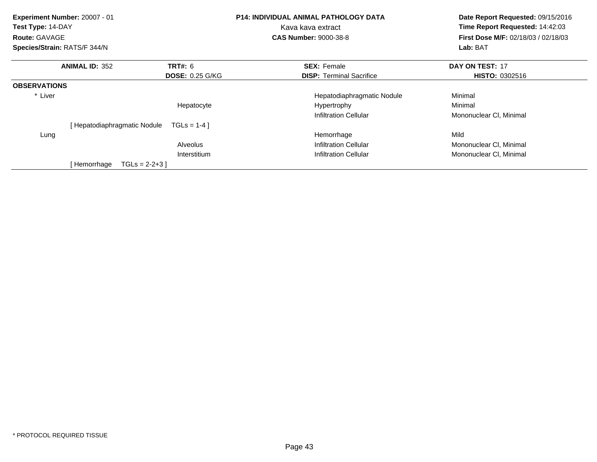| Test Type: 14-DAY<br><b>Route: GAVAGE</b><br>Species/Strain: RATS/F 344/N | Experiment Number: 20007 - 01 |                        | <b>P14: INDIVIDUAL ANIMAL PATHOLOGY DATA</b><br>Kava kava extract<br><b>CAS Number: 9000-38-8</b> | Date Report Requested: 09/15/2016<br>Time Report Requested: 14:42:03<br><b>First Dose M/F: 02/18/03 / 02/18/03</b><br>Lab: BAT |
|---------------------------------------------------------------------------|-------------------------------|------------------------|---------------------------------------------------------------------------------------------------|--------------------------------------------------------------------------------------------------------------------------------|
|                                                                           | <b>ANIMAL ID: 352</b>         | TRT#: 6                | <b>SEX: Female</b>                                                                                | DAY ON TEST: 17                                                                                                                |
|                                                                           |                               | <b>DOSE: 0.25 G/KG</b> | <b>DISP:</b> Terminal Sacrifice                                                                   | <b>HISTO: 0302516</b>                                                                                                          |
| <b>OBSERVATIONS</b>                                                       |                               |                        |                                                                                                   |                                                                                                                                |
| * Liver                                                                   |                               |                        | Hepatodiaphragmatic Nodule                                                                        | Minimal                                                                                                                        |
|                                                                           |                               | Hepatocyte             | Hypertrophy                                                                                       | Minimal                                                                                                                        |
|                                                                           |                               |                        | Infiltration Cellular                                                                             | Mononuclear CI, Minimal                                                                                                        |
|                                                                           | [Hepatodiaphragmatic Nodule   | $TGLS = 1-4$           |                                                                                                   |                                                                                                                                |
| Lung                                                                      |                               |                        | Hemorrhage                                                                                        | Mild                                                                                                                           |
|                                                                           |                               | Alveolus               | Infiltration Cellular                                                                             | Mononuclear CI, Minimal                                                                                                        |
|                                                                           |                               | Interstitium           | <b>Infiltration Cellular</b>                                                                      | Mononuclear CI, Minimal                                                                                                        |
|                                                                           | [ Hemorrhage                  | $TGLS = 2-2+3$         |                                                                                                   |                                                                                                                                |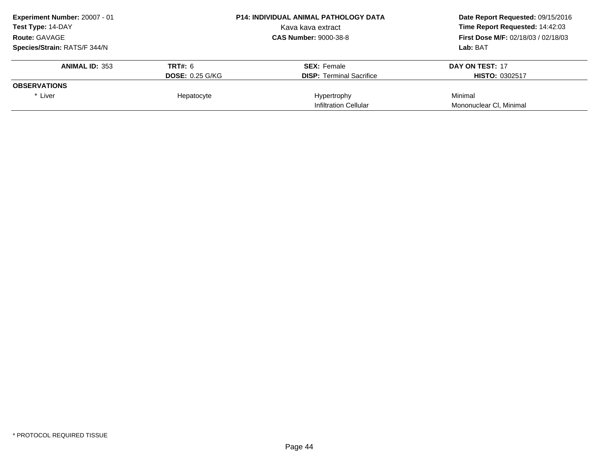| Experiment Number: 20007 - 01 |                        | <b>P14: INDIVIDUAL ANIMAL PATHOLOGY DATA</b> | Date Report Requested: 09/15/2016          |
|-------------------------------|------------------------|----------------------------------------------|--------------------------------------------|
| <b>Test Type: 14-DAY</b>      |                        | Kava kava extract                            | Time Report Requested: 14:42:03            |
| <b>Route: GAVAGE</b>          |                        | <b>CAS Number: 9000-38-8</b>                 | <b>First Dose M/F: 02/18/03 / 02/18/03</b> |
| Species/Strain: RATS/F 344/N  |                        |                                              | Lab: BAT                                   |
| <b>ANIMAL ID: 353</b>         | <b>TRT#: 6</b>         | <b>SEX: Female</b>                           | DAY ON TEST: 17                            |
|                               | <b>DOSE: 0.25 G/KG</b> | <b>DISP:</b> Terminal Sacrifice              | <b>HISTO: 0302517</b>                      |
| <b>OBSERVATIONS</b>           |                        |                                              |                                            |
| * Liver                       | Hepatocyte             | Hypertrophy                                  | Minimal                                    |
|                               |                        | Infiltration Cellular                        | Mononuclear CI, Minimal                    |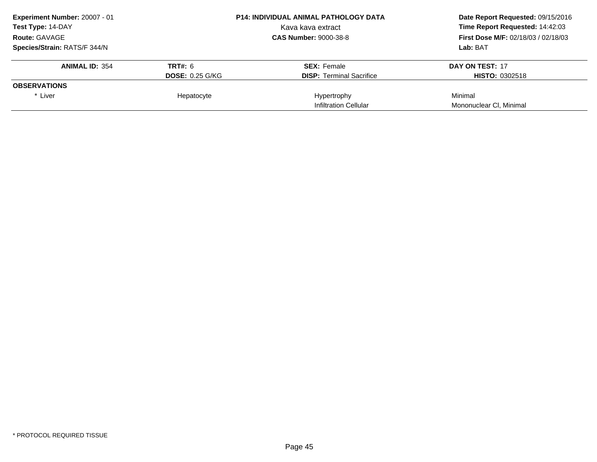| Experiment Number: 20007 - 01 |                        | <b>P14: INDIVIDUAL ANIMAL PATHOLOGY DATA</b> | Date Report Requested: 09/15/2016          |
|-------------------------------|------------------------|----------------------------------------------|--------------------------------------------|
| <b>Test Type: 14-DAY</b>      |                        | Kava kava extract                            | Time Report Requested: 14:42:03            |
| <b>Route: GAVAGE</b>          |                        | <b>CAS Number: 9000-38-8</b>                 | <b>First Dose M/F: 02/18/03 / 02/18/03</b> |
| Species/Strain: RATS/F 344/N  |                        |                                              | Lab: BAT                                   |
| <b>ANIMAL ID: 354</b>         | <b>TRT#: 6</b>         | <b>SEX: Female</b>                           | DAY ON TEST: 17                            |
|                               | <b>DOSE: 0.25 G/KG</b> | <b>DISP:</b> Terminal Sacrifice              | <b>HISTO: 0302518</b>                      |
| <b>OBSERVATIONS</b>           |                        |                                              |                                            |
| * Liver                       | Hepatocyte             | Hypertrophy                                  | Minimal                                    |
|                               |                        | Infiltration Cellular                        | Mononuclear CI, Minimal                    |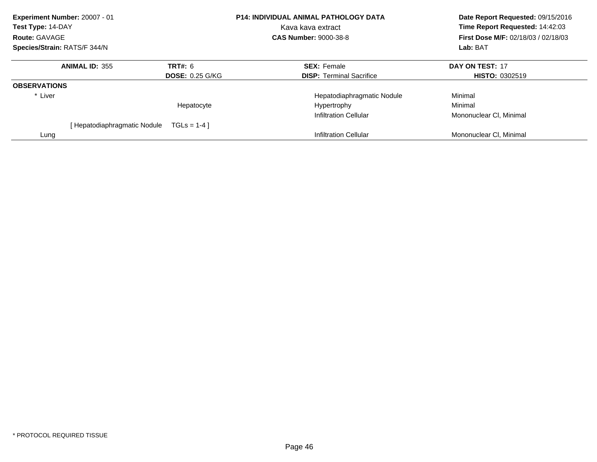| Experiment Number: 20007 - 01 |                             |                        | <b>P14: INDIVIDUAL ANIMAL PATHOLOGY DATA</b> | Date Report Requested: 09/15/2016                                             |  |
|-------------------------------|-----------------------------|------------------------|----------------------------------------------|-------------------------------------------------------------------------------|--|
| Test Type: 14-DAY             |                             |                        | Kava kava extract                            | Time Report Requested: 14:42:03<br><b>First Dose M/F: 02/18/03 / 02/18/03</b> |  |
| <b>Route: GAVAGE</b>          |                             |                        | <b>CAS Number: 9000-38-8</b>                 |                                                                               |  |
| Species/Strain: RATS/F 344/N  |                             |                        |                                              | Lab: BAT                                                                      |  |
|                               | <b>ANIMAL ID: 355</b>       | TRT#: 6                | <b>SEX: Female</b>                           | DAY ON TEST: 17                                                               |  |
|                               |                             | <b>DOSE: 0.25 G/KG</b> | <b>DISP:</b> Terminal Sacrifice              | <b>HISTO: 0302519</b>                                                         |  |
| <b>OBSERVATIONS</b>           |                             |                        |                                              |                                                                               |  |
| * Liver                       |                             |                        | Hepatodiaphragmatic Nodule                   | Minimal                                                                       |  |
|                               |                             | Hepatocyte             | Hypertrophy                                  | Minimal                                                                       |  |
|                               |                             |                        | Infiltration Cellular                        | Mononuclear CI, Minimal                                                       |  |
|                               | [Hepatodiaphragmatic Nodule | $TGLS = 1-4$           |                                              |                                                                               |  |
| Lung                          |                             |                        | Infiltration Cellular                        | Mononuclear CI, Minimal                                                       |  |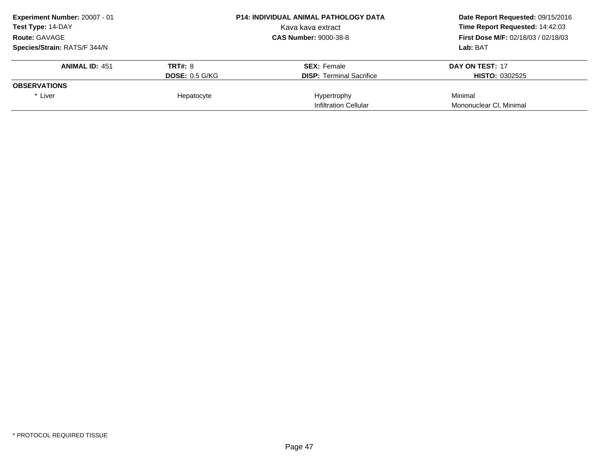| Experiment Number: 20007 - 01 |                       | <b>P14: INDIVIDUAL ANIMAL PATHOLOGY DATA</b> | Date Report Requested: 09/15/2016          |
|-------------------------------|-----------------------|----------------------------------------------|--------------------------------------------|
| <b>Test Type: 14-DAY</b>      |                       | Kava kava extract                            | Time Report Requested: 14:42:03            |
| <b>Route: GAVAGE</b>          |                       | <b>CAS Number: 9000-38-8</b>                 | <b>First Dose M/F: 02/18/03 / 02/18/03</b> |
| Species/Strain: RATS/F 344/N  |                       |                                              | Lab: BAT                                   |
| <b>ANIMAL ID: 451</b>         | <b>TRT#: 8</b>        | <b>SEX: Female</b>                           | DAY ON TEST: 17                            |
|                               | <b>DOSE: 0.5 G/KG</b> | <b>DISP:</b> Terminal Sacrifice              | <b>HISTO: 0302525</b>                      |
| <b>OBSERVATIONS</b>           |                       |                                              |                                            |
| * Liver                       | Hepatocyte            | Hypertrophy                                  | Minimal                                    |
|                               |                       | Infiltration Cellular                        | Mononuclear CI, Minimal                    |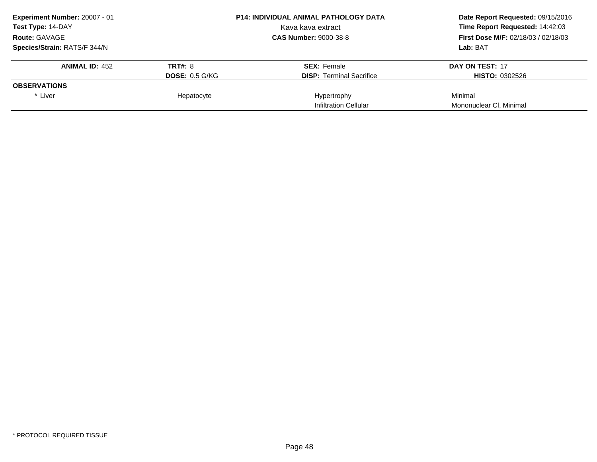| Experiment Number: 20007 - 01 |                       | <b>P14: INDIVIDUAL ANIMAL PATHOLOGY DATA</b> | Date Report Requested: 09/15/2016          |
|-------------------------------|-----------------------|----------------------------------------------|--------------------------------------------|
| <b>Test Type: 14-DAY</b>      |                       | Kava kava extract                            | Time Report Requested: 14:42:03            |
| <b>Route: GAVAGE</b>          |                       | <b>CAS Number: 9000-38-8</b>                 | <b>First Dose M/F: 02/18/03 / 02/18/03</b> |
| Species/Strain: RATS/F 344/N  |                       |                                              | Lab: BAT                                   |
| <b>ANIMAL ID: 452</b>         | <b>TRT#: 8</b>        | <b>SEX: Female</b>                           | DAY ON TEST: 17                            |
|                               | <b>DOSE: 0.5 G/KG</b> | <b>DISP:</b> Terminal Sacrifice              | <b>HISTO: 0302526</b>                      |
| <b>OBSERVATIONS</b>           |                       |                                              |                                            |
| * Liver                       | Hepatocyte            | Hypertrophy                                  | Minimal                                    |
|                               |                       | Infiltration Cellular                        | Mononuclear CI, Minimal                    |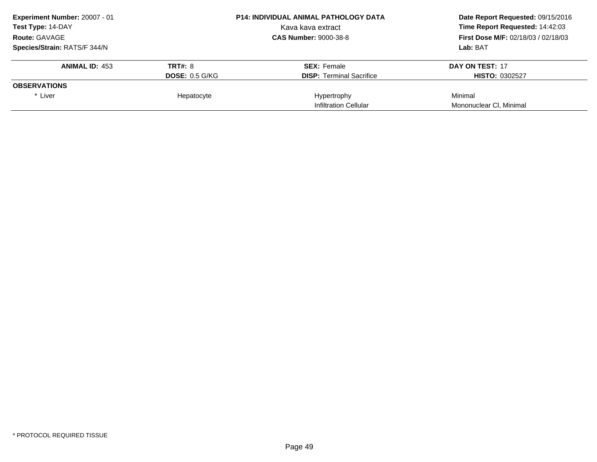| Experiment Number: 20007 - 01 | <b>P14: INDIVIDUAL ANIMAL PATHOLOGY DATA</b> |                                 | Date Report Requested: 09/15/2016          |  |
|-------------------------------|----------------------------------------------|---------------------------------|--------------------------------------------|--|
| <b>Test Type: 14-DAY</b>      |                                              | Kava kava extract               | Time Report Requested: 14:42:03            |  |
| <b>Route: GAVAGE</b>          | <b>CAS Number: 9000-38-8</b>                 |                                 | <b>First Dose M/F: 02/18/03 / 02/18/03</b> |  |
| Species/Strain: RATS/F 344/N  |                                              |                                 | Lab: BAT                                   |  |
| <b>ANIMAL ID: 453</b>         | <b>TRT#: 8</b>                               | <b>SEX: Female</b>              | DAY ON TEST: 17                            |  |
|                               | <b>DOSE: 0.5 G/KG</b>                        | <b>DISP:</b> Terminal Sacrifice | <b>HISTO: 0302527</b>                      |  |
| <b>OBSERVATIONS</b>           |                                              |                                 |                                            |  |
| * Liver                       | Hepatocyte                                   | Hypertrophy                     | Minimal                                    |  |
|                               |                                              | Infiltration Cellular           | Mononuclear CI, Minimal                    |  |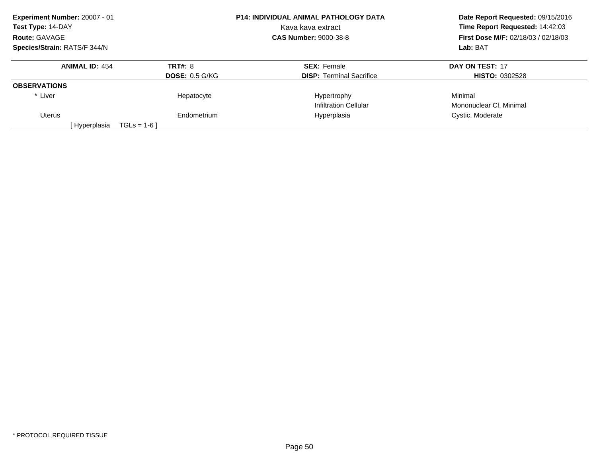| Experiment Number: 20007 - 01 |                       | <b>P14: INDIVIDUAL ANIMAL PATHOLOGY DATA</b> | Date Report Requested: 09/15/2016<br>Time Report Requested: 14:42:03<br><b>First Dose M/F: 02/18/03 / 02/18/03</b> |  |
|-------------------------------|-----------------------|----------------------------------------------|--------------------------------------------------------------------------------------------------------------------|--|
| Test Type: 14-DAY             |                       | Kava kava extract                            |                                                                                                                    |  |
| Route: GAVAGE                 |                       | <b>CAS Number: 9000-38-8</b>                 |                                                                                                                    |  |
| Species/Strain: RATS/F 344/N  |                       |                                              | Lab: BAT                                                                                                           |  |
| <b>ANIMAL ID: 454</b>         | <b>TRT#: 8</b>        | <b>SEX: Female</b>                           | DAY ON TEST: 17                                                                                                    |  |
|                               | <b>DOSE: 0.5 G/KG</b> | <b>DISP:</b> Terminal Sacrifice              | <b>HISTO: 0302528</b>                                                                                              |  |
| <b>OBSERVATIONS</b>           |                       |                                              |                                                                                                                    |  |
| * Liver                       | Hepatocyte            | Hypertrophy                                  | Minimal                                                                                                            |  |
|                               |                       | <b>Infiltration Cellular</b>                 | Mononuclear CI, Minimal                                                                                            |  |
| Uterus                        | Endometrium           | Hyperplasia                                  | Cystic, Moderate                                                                                                   |  |
| [ Hyperplasia<br>$TGLs = 1-6$ |                       |                                              |                                                                                                                    |  |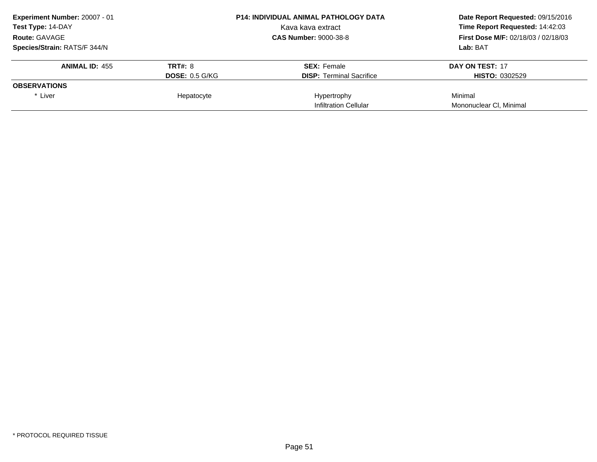| Experiment Number: 20007 - 01 | <b>P14: INDIVIDUAL ANIMAL PATHOLOGY DATA</b> |                                 | Date Report Requested: 09/15/2016          |  |
|-------------------------------|----------------------------------------------|---------------------------------|--------------------------------------------|--|
| <b>Test Type: 14-DAY</b>      |                                              | Kava kava extract               | Time Report Requested: 14:42:03            |  |
| <b>Route: GAVAGE</b>          | <b>CAS Number: 9000-38-8</b>                 |                                 | <b>First Dose M/F: 02/18/03 / 02/18/03</b> |  |
| Species/Strain: RATS/F 344/N  |                                              |                                 | Lab: BAT                                   |  |
| <b>ANIMAL ID: 455</b>         | <b>TRT#: 8</b>                               | <b>SEX: Female</b>              | DAY ON TEST: 17                            |  |
|                               | <b>DOSE: 0.5 G/KG</b>                        | <b>DISP:</b> Terminal Sacrifice | <b>HISTO: 0302529</b>                      |  |
| <b>OBSERVATIONS</b>           |                                              |                                 |                                            |  |
| * Liver                       | Hepatocyte                                   | Hypertrophy                     | Minimal                                    |  |
|                               |                                              | Infiltration Cellular           | Mononuclear CI, Minimal                    |  |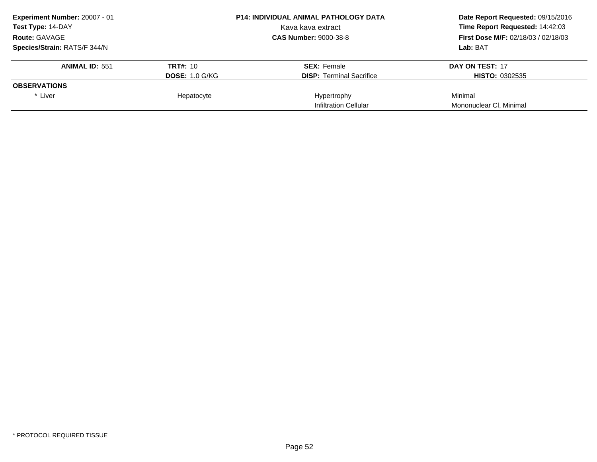| Experiment Number: 20007 - 01 | <b>P14: INDIVIDUAL ANIMAL PATHOLOGY DATA</b> |                                 | Date Report Requested: 09/15/2016          |  |
|-------------------------------|----------------------------------------------|---------------------------------|--------------------------------------------|--|
| <b>Test Type: 14-DAY</b>      |                                              | Kava kava extract               | Time Report Requested: 14:42:03            |  |
| <b>Route: GAVAGE</b>          | <b>CAS Number: 9000-38-8</b>                 |                                 | <b>First Dose M/F: 02/18/03 / 02/18/03</b> |  |
| Species/Strain: RATS/F 344/N  |                                              |                                 | Lab: BAT                                   |  |
| <b>ANIMAL ID: 551</b>         | <b>TRT#: 10</b>                              | <b>SEX: Female</b>              | DAY ON TEST: 17                            |  |
|                               | <b>DOSE: 1.0 G/KG</b>                        | <b>DISP:</b> Terminal Sacrifice | <b>HISTO: 0302535</b>                      |  |
| <b>OBSERVATIONS</b>           |                                              |                                 |                                            |  |
| * Liver                       | Hepatocyte                                   | Hypertrophy                     | Minimal                                    |  |
|                               |                                              | Infiltration Cellular           | Mononuclear CI, Minimal                    |  |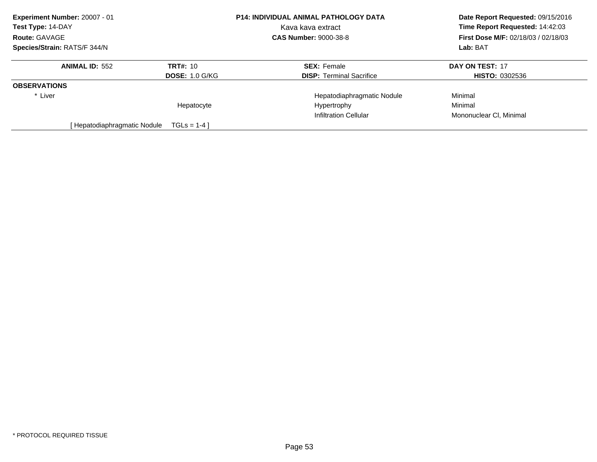| Experiment Number: 20007 - 01 |                       | P14: INDIVIDUAL ANIMAL PATHOLOGY DATA | Date Report Requested: 09/15/2016<br>Time Report Requested: 14:42:03 |
|-------------------------------|-----------------------|---------------------------------------|----------------------------------------------------------------------|
| Test Type: 14-DAY             |                       | Kava kava extract                     |                                                                      |
| Route: GAVAGE                 |                       | <b>CAS Number: 9000-38-8</b>          | <b>First Dose M/F: 02/18/03 / 02/18/03</b>                           |
| Species/Strain: RATS/F 344/N  |                       |                                       | Lab: BAT                                                             |
| <b>ANIMAL ID: 552</b>         | <b>TRT#: 10</b>       | <b>SEX: Female</b>                    | DAY ON TEST: 17                                                      |
|                               | <b>DOSE: 1.0 G/KG</b> | <b>DISP:</b> Terminal Sacrifice       | <b>HISTO: 0302536</b>                                                |
| <b>OBSERVATIONS</b>           |                       |                                       |                                                                      |
| * Liver                       |                       | Hepatodiaphragmatic Nodule            | Minimal                                                              |
|                               | Hepatocyte            | Hypertrophy                           | Minimal                                                              |
|                               |                       | Infiltration Cellular                 | Mononuclear CI. Minimal                                              |
| [ Hepatodiaphragmatic Nodule  | $TGLS = 1-4$          |                                       |                                                                      |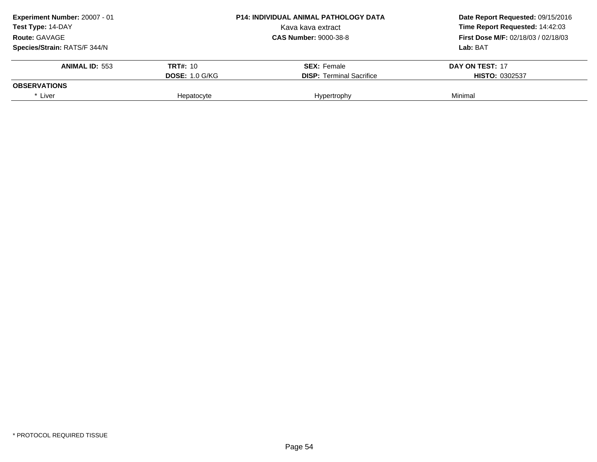| Experiment Number: 20007 - 01 | <b>P14: INDIVIDUAL ANIMAL PATHOLOGY DATA</b> |                                 | Date Report Requested: 09/15/2016          |  |
|-------------------------------|----------------------------------------------|---------------------------------|--------------------------------------------|--|
| Test Type: 14-DAY             |                                              | Kava kava extract               | Time Report Requested: 14:42:03            |  |
| <b>Route: GAVAGE</b>          | <b>CAS Number: 9000-38-8</b>                 |                                 | <b>First Dose M/F: 02/18/03 / 02/18/03</b> |  |
| Species/Strain: RATS/F 344/N  |                                              |                                 | Lab: BAT                                   |  |
| <b>ANIMAL ID: 553</b>         | <b>TRT#: 10</b>                              | <b>SEX: Female</b>              | DAY ON TEST: 17                            |  |
|                               | <b>DOSE: 1.0 G/KG</b>                        | <b>DISP:</b> Terminal Sacrifice | <b>HISTO: 0302537</b>                      |  |
| <b>OBSERVATIONS</b>           |                                              |                                 |                                            |  |
| * Liver                       | Hepatocyte                                   | Hypertrophy                     | Minimal                                    |  |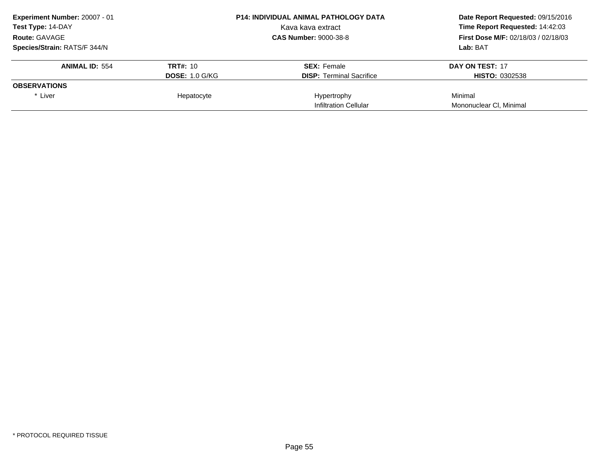| Experiment Number: 20007 - 01 | <b>P14: INDIVIDUAL ANIMAL PATHOLOGY DATA</b> |                                 | Date Report Requested: 09/15/2016          |  |
|-------------------------------|----------------------------------------------|---------------------------------|--------------------------------------------|--|
| <b>Test Type: 14-DAY</b>      |                                              | Kava kava extract               | Time Report Requested: 14:42:03            |  |
| <b>Route: GAVAGE</b>          | <b>CAS Number: 9000-38-8</b>                 |                                 | <b>First Dose M/F: 02/18/03 / 02/18/03</b> |  |
| Species/Strain: RATS/F 344/N  |                                              |                                 | Lab: BAT                                   |  |
| <b>ANIMAL ID: 554</b>         | <b>TRT#: 10</b>                              | <b>SEX: Female</b>              | DAY ON TEST: 17                            |  |
|                               | <b>DOSE: 1.0 G/KG</b>                        | <b>DISP:</b> Terminal Sacrifice | <b>HISTO: 0302538</b>                      |  |
| <b>OBSERVATIONS</b>           |                                              |                                 |                                            |  |
| * Liver                       | Hepatocyte                                   | Hypertrophy                     | Minimal                                    |  |
|                               |                                              | Infiltration Cellular           | Mononuclear CI, Minimal                    |  |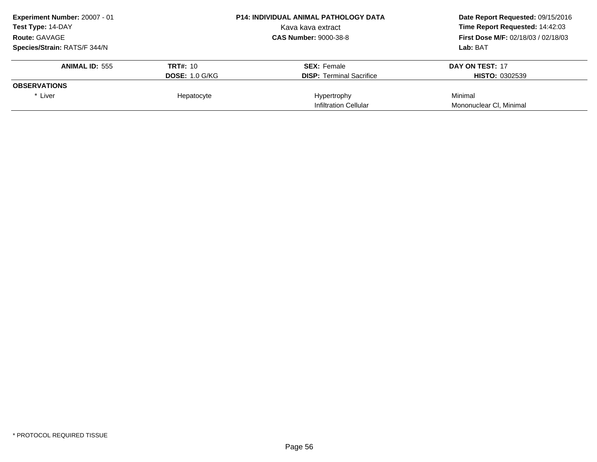| Experiment Number: 20007 - 01 | <b>P14: INDIVIDUAL ANIMAL PATHOLOGY DATA</b> |                                 | Date Report Requested: 09/15/2016          |  |
|-------------------------------|----------------------------------------------|---------------------------------|--------------------------------------------|--|
| <b>Test Type: 14-DAY</b>      |                                              | Kava kava extract               | Time Report Requested: 14:42:03            |  |
| <b>Route: GAVAGE</b>          | <b>CAS Number: 9000-38-8</b>                 |                                 | <b>First Dose M/F: 02/18/03 / 02/18/03</b> |  |
| Species/Strain: RATS/F 344/N  |                                              |                                 | Lab: BAT                                   |  |
| <b>ANIMAL ID: 555</b>         | <b>TRT#: 10</b>                              | <b>SEX: Female</b>              | DAY ON TEST: 17                            |  |
|                               | <b>DOSE: 1.0 G/KG</b>                        | <b>DISP:</b> Terminal Sacrifice | <b>HISTO: 0302539</b>                      |  |
| <b>OBSERVATIONS</b>           |                                              |                                 |                                            |  |
| * Liver                       | Hepatocyte                                   | Hypertrophy                     | Minimal                                    |  |
|                               |                                              | Infiltration Cellular           | Mononuclear CI, Minimal                    |  |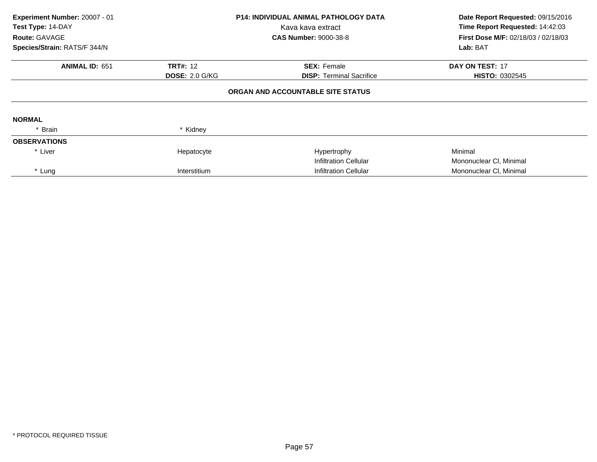| Experiment Number: 20007 - 01 |                       | <b>P14: INDIVIDUAL ANIMAL PATHOLOGY DATA</b> | Date Report Requested: 09/15/2016<br>Time Report Requested: 14:42:03 |
|-------------------------------|-----------------------|----------------------------------------------|----------------------------------------------------------------------|
| Test Type: 14-DAY             |                       | Kava kava extract                            |                                                                      |
| <b>Route: GAVAGE</b>          |                       | <b>CAS Number: 9000-38-8</b>                 | <b>First Dose M/F: 02/18/03 / 02/18/03</b>                           |
| Species/Strain: RATS/F 344/N  |                       |                                              | Lab: BAT                                                             |
| <b>ANIMAL ID: 651</b>         | <b>TRT#: 12</b>       | <b>SEX: Female</b>                           | DAY ON TEST: 17                                                      |
|                               | <b>DOSE: 2.0 G/KG</b> | <b>DISP:</b> Terminal Sacrifice              | <b>HISTO: 0302545</b>                                                |
|                               |                       | ORGAN AND ACCOUNTABLE SITE STATUS            |                                                                      |
| <b>NORMAL</b>                 |                       |                                              |                                                                      |
| * Brain                       | * Kidney              |                                              |                                                                      |
| <b>OBSERVATIONS</b>           |                       |                                              |                                                                      |
| * Liver                       | Hepatocyte            | Hypertrophy                                  | Minimal                                                              |
|                               |                       | <b>Infiltration Cellular</b>                 | Mononuclear CI, Minimal                                              |
| * Lung                        | Interstitium          | <b>Infiltration Cellular</b>                 | Mononuclear CI, Minimal                                              |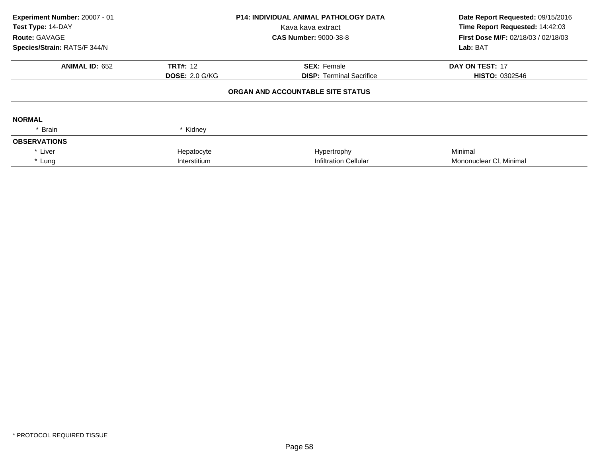| Experiment Number: 20007 - 01<br>Test Type: 14-DAY<br>Route: GAVAGE<br>Species/Strain: RATS/F 344/N | <b>P14: INDIVIDUAL ANIMAL PATHOLOGY DATA</b><br>Kava kava extract<br><b>CAS Number: 9000-38-8</b> |                                   | Date Report Requested: 09/15/2016<br>Time Report Requested: 14:42:03<br>First Dose M/F: 02/18/03 / 02/18/03<br>Lab: BAT |  |
|-----------------------------------------------------------------------------------------------------|---------------------------------------------------------------------------------------------------|-----------------------------------|-------------------------------------------------------------------------------------------------------------------------|--|
| <b>ANIMAL ID: 652</b>                                                                               | <b>TRT#: 12</b>                                                                                   | <b>SEX: Female</b>                | DAY ON TEST: 17                                                                                                         |  |
|                                                                                                     | <b>DOSE: 2.0 G/KG</b>                                                                             | <b>DISP:</b> Terminal Sacrifice   | <b>HISTO: 0302546</b>                                                                                                   |  |
|                                                                                                     |                                                                                                   | ORGAN AND ACCOUNTABLE SITE STATUS |                                                                                                                         |  |
| <b>NORMAL</b>                                                                                       |                                                                                                   |                                   |                                                                                                                         |  |
| Brain                                                                                               | * Kidney                                                                                          |                                   |                                                                                                                         |  |
| <b>OBSERVATIONS</b>                                                                                 |                                                                                                   |                                   |                                                                                                                         |  |
| * Liver                                                                                             | Hepatocyte                                                                                        | Hypertrophy                       | Minimal                                                                                                                 |  |
| * Lung                                                                                              | Interstitium                                                                                      | Infiltration Cellular             | Mononuclear CI, Minimal                                                                                                 |  |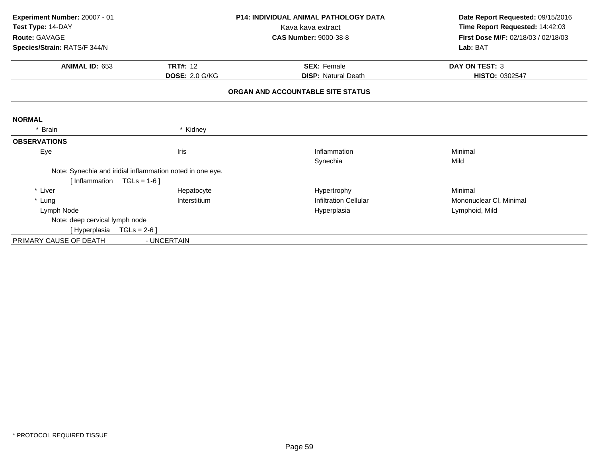| Experiment Number: 20007 - 01  |                                                           | <b>P14: INDIVIDUAL ANIMAL PATHOLOGY DATA</b> | Date Report Requested: 09/15/2016   |
|--------------------------------|-----------------------------------------------------------|----------------------------------------------|-------------------------------------|
| Test Type: 14-DAY              |                                                           | Kava kava extract                            | Time Report Requested: 14:42:03     |
| Route: GAVAGE                  |                                                           | <b>CAS Number: 9000-38-8</b>                 | First Dose M/F: 02/18/03 / 02/18/03 |
| Species/Strain: RATS/F 344/N   |                                                           |                                              | Lab: BAT                            |
| <b>ANIMAL ID: 653</b>          | <b>TRT#: 12</b>                                           | <b>SEX: Female</b>                           | <b>DAY ON TEST: 3</b>               |
|                                | <b>DOSE: 2.0 G/KG</b>                                     | <b>DISP: Natural Death</b>                   | HISTO: 0302547                      |
|                                |                                                           | ORGAN AND ACCOUNTABLE SITE STATUS            |                                     |
| <b>NORMAL</b>                  |                                                           |                                              |                                     |
| * Brain                        | * Kidney                                                  |                                              |                                     |
| <b>OBSERVATIONS</b>            |                                                           |                                              |                                     |
| Eye                            | Iris                                                      | Inflammation                                 | Minimal                             |
|                                |                                                           | Synechia                                     | Mild                                |
|                                | Note: Synechia and iridial inflammation noted in one eye. |                                              |                                     |
| [Inflammation $TGLs = 1-6$ ]   |                                                           |                                              |                                     |
| * Liver                        | Hepatocyte                                                | Hypertrophy                                  | Minimal                             |
| * Lung                         | Interstitium                                              | <b>Infiltration Cellular</b>                 | Mononuclear CI, Minimal             |
| Lymph Node                     |                                                           | Hyperplasia                                  | Lymphoid, Mild                      |
| Note: deep cervical lymph node |                                                           |                                              |                                     |
| [Hyperplasia                   | $TGLs = 2-6$ ]                                            |                                              |                                     |
| PRIMARY CAUSE OF DEATH         | - UNCERTAIN                                               |                                              |                                     |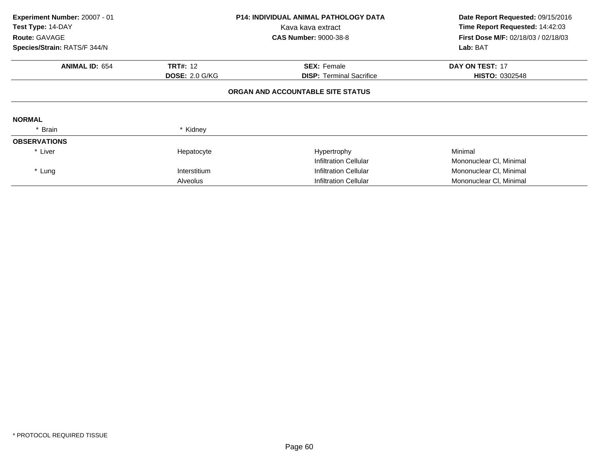| Experiment Number: 20007 - 01<br>Test Type: 14-DAY<br>Route: GAVAGE<br>Species/Strain: RATS/F 344/N |                                          | <b>P14: INDIVIDUAL ANIMAL PATHOLOGY DATA</b><br>Kava kava extract<br><b>CAS Number: 9000-38-8</b> | Date Report Requested: 09/15/2016<br>Time Report Requested: 14:42:03<br><b>First Dose M/F: 02/18/03 / 02/18/03</b><br>Lab: BAT |
|-----------------------------------------------------------------------------------------------------|------------------------------------------|---------------------------------------------------------------------------------------------------|--------------------------------------------------------------------------------------------------------------------------------|
| <b>ANIMAL ID: 654</b>                                                                               | <b>TRT#: 12</b><br><b>DOSE: 2.0 G/KG</b> | <b>SEX: Female</b><br><b>DISP:</b> Terminal Sacrifice                                             | DAY ON TEST: 17<br><b>HISTO: 0302548</b>                                                                                       |
|                                                                                                     |                                          | ORGAN AND ACCOUNTABLE SITE STATUS                                                                 |                                                                                                                                |
| <b>NORMAL</b>                                                                                       |                                          |                                                                                                   |                                                                                                                                |
| * Brain                                                                                             | * Kidney                                 |                                                                                                   |                                                                                                                                |
| <b>OBSERVATIONS</b>                                                                                 |                                          |                                                                                                   |                                                                                                                                |
| * Liver                                                                                             | Hepatocyte                               | Hypertrophy                                                                                       | Minimal                                                                                                                        |
|                                                                                                     |                                          | Infiltration Cellular                                                                             | Mononuclear CI, Minimal                                                                                                        |
| * Lung                                                                                              | Interstitium                             | Infiltration Cellular                                                                             | Mononuclear CI, Minimal                                                                                                        |
|                                                                                                     | Alveolus                                 | <b>Infiltration Cellular</b>                                                                      | Mononuclear CI, Minimal                                                                                                        |